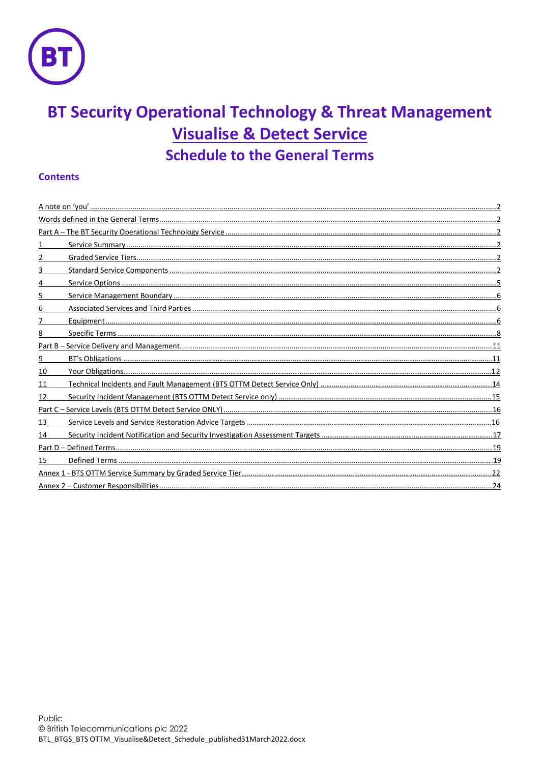

# **BT Security Operational Technology & Threat Management Visualise & Detect Service Schedule to the General Terms**

# **Contents**

| 3  |  |
|----|--|
|    |  |
| 5  |  |
| 6  |  |
|    |  |
| 8  |  |
|    |  |
| 9  |  |
| 10 |  |
| 11 |  |
| 12 |  |
|    |  |
| 13 |  |
| 14 |  |
|    |  |
| 15 |  |
|    |  |
|    |  |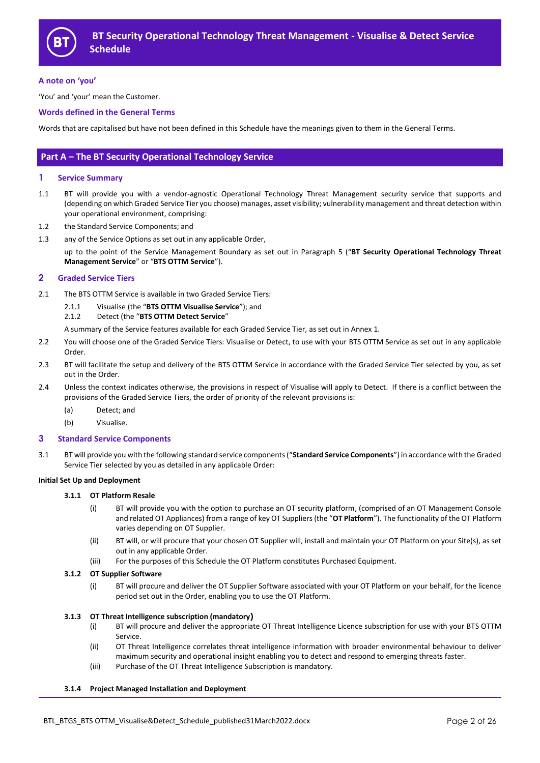

## **A note on 'you'**

'You' and 'your' mean the Customer.

#### **Words defined in the General Terms**

Words that are capitalised but have not been defined in this Schedule have the meanings given to them in the General Terms.

# **Part A – The BT Security Operational Technology Service**

#### **1 Service Summary**

- 1.1 BT will provide you with a vendor-agnostic Operational Technology Threat Management security service that supports and (depending on which Graded Service Tier you choose) manages, asset visibility; vulnerability management and threat detection within your operational environment, comprising:
- 1.2 the Standard Service Components; and
- 1.3 any of the Service Options as set out in any applicable Order,

up to the point of the Service Management Boundary as set out in Paragraph 5 ("**BT Security Operational Technology Threat Management Service**" or "**BTS OTTM Service**").

## **2 Graded Service Tiers**

- 2.1 The BTS OTTM Service is available in two Graded Service Tiers:
	- 2.1.1 Visualise (the "**BTS OTTM Visualise Service**"); and
	- 2.1.2 Detect (the "**BTS OTTM Detect Service**"

A summary of the Service features available for each Graded Service Tier, as set out in Annex 1.

- 2.2 You will choose one of the Graded Service Tiers: Visualise or Detect, to use with your BTS OTTM Service as set out in any applicable Order.
- 2.3 BT will facilitate the setup and delivery of the BTS OTTM Service in accordance with the Graded Service Tier selected by you, as set out in the Order.
- 2.4 Unless the context indicates otherwise, the provisions in respect of Visualise will apply to Detect. If there is a conflict between the provisions of the Graded Service Tiers, the order of priority of the relevant provisions is:
	- (a) Detect; and
	- (b) Visualise.

#### **3 Standard Service Components**

3.1 BT will provide you with the following standard service components ("**Standard Service Components**") in accordance with the Graded Service Tier selected by you as detailed in any applicable Order:

#### **Initial Set Up and Deployment**

#### **3.1.1 OT Platform Resale**

- (i) BT will provide you with the option to purchase an OT security platform, (comprised of an OT Management Console and related OT Appliances) from a range of key OT Suppliers (the "**OT Platform**"). The functionality of the OT Platform varies depending on OT Supplier.
- (ii) BT will, or will procure that your chosen OT Supplier will, install and maintain your OT Platform on your Site(s), as set out in any applicable Order.
- (iii) For the purposes of this Schedule the OT Platform constitutes Purchased Equipment.

#### **3.1.2 OT Supplier Software**

(i) BT will procure and deliver the OT Supplier Software associated with your OT Platform on your behalf, for the licence period set out in the Order, enabling you to use the OT Platform.

#### **3.1.3 OT Threat Intelligence subscription (mandatory)**

- (i) BT will procure and deliver the appropriate OT Threat Intelligence Licence subscription for use with your BTS OTTM Service.
- (ii) OT Threat Intelligence correlates threat intelligence information with broader environmental behaviour to deliver maximum security and operational insight enabling you to detect and respond to emerging threats faster.
- (iii) Purchase of the OT Threat Intelligence Subscription is mandatory.

#### **3.1.4 Project Managed Installation and Deployment**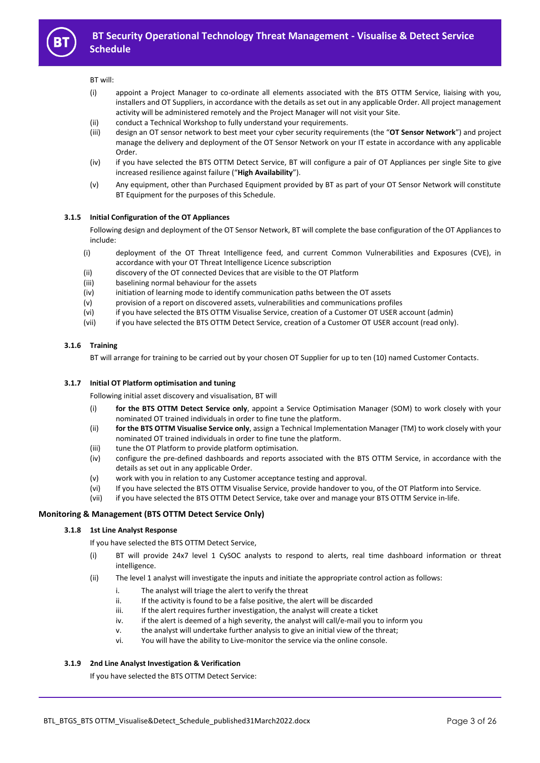

#### BT will:

- (i) appoint a Project Manager to co-ordinate all elements associated with the BTS OTTM Service, liaising with you, installers and OT Suppliers, in accordance with the details as set out in any applicable Order. All project management activity will be administered remotely and the Project Manager will not visit your Site.
- (ii) conduct a Technical Workshop to fully understand your requirements.
- (iii) design an OT sensor network to best meet your cyber security requirements (the "**OT Sensor Network**") and project manage the delivery and deployment of the OT Sensor Network on your IT estate in accordance with any applicable Order.
- (iv) if you have selected the BTS OTTM Detect Service, BT will configure a pair of OT Appliances per single Site to give increased resilience against failure ("**High Availability**").
- (v) Any equipment, other than Purchased Equipment provided by BT as part of your OT Sensor Network will constitute BT Equipment for the purposes of this Schedule.

#### **3.1.5 Initial Configuration of the OT Appliances**

Following design and deployment of the OT Sensor Network, BT will complete the base configuration of the OT Appliances to include:

- (i) deployment of the OT Threat Intelligence feed, and current Common Vulnerabilities and Exposures (CVE), in accordance with your OT Threat Intelligence Licence subscription
- (ii) discovery of the OT connected Devices that are visible to the OT Platform
- (iii) baselining normal behaviour for the assets
- (iv) initiation of learning mode to identify communication paths between the OT assets
- (v) provision of a report on discovered assets, vulnerabilities and communications profiles
- (vi) if you have selected the BTS OTTM Visualise Service, creation of a Customer OT USER account (admin)
- (vii) if you have selected the BTS OTTM Detect Service, creation of a Customer OT USER account (read only).

#### **3.1.6 Training**

BT will arrange for training to be carried out by your chosen OT Supplier for up to ten (10) named Customer Contacts.

#### **3.1.7 Initial OT Platform optimisation and tuning**

Following initial asset discovery and visualisation, BT will

- (i) **for the BTS OTTM Detect Service only**, appoint a Service Optimisation Manager (SOM) to work closely with your nominated OT trained individuals in order to fine tune the platform.
- (ii) **for the BTS OTTM Visualise Service only**, assign a Technical Implementation Manager (TM) to work closely with your nominated OT trained individuals in order to fine tune the platform.
- (iii) tune the OT Platform to provide platform optimisation.
- (iv) configure the pre-defined dashboards and reports associated with the BTS OTTM Service, in accordance with the details as set out in any applicable Order.
- (v) work with you in relation to any Customer acceptance testing and approval.
- (vi) If you have selected the BTS OTTM Visualise Service, provide handover to you, of the OT Platform into Service.
- (vii) if you have selected the BTS OTTM Detect Service, take over and manage your BTS OTTM Service in-life.

#### **Monitoring & Management (BTS OTTM Detect Service Only)**

#### **3.1.8 1st Line Analyst Response**

If you have selected the BTS OTTM Detect Service,

- (i) BT will provide 24x7 level 1 CySOC analysts to respond to alerts, real time dashboard information or threat intelligence.
- (ii) The level 1 analyst will investigate the inputs and initiate the appropriate control action as follows:
	- i. The analyst will triage the alert to verify the threat
	- ii. If the activity is found to be a false positive, the alert will be discarded
	- iii. If the alert requires further investigation, the analyst will create a ticket
	- iv. if the alert is deemed of a high severity, the analyst will call/e-mail you to inform you
	- v. the analyst will undertake further analysis to give an initial view of the threat;
	- vi. You will have the ability to Live-monitor the service via the online console.

#### **3.1.9 2nd Line Analyst Investigation & Verification**

If you have selected the BTS OTTM Detect Service: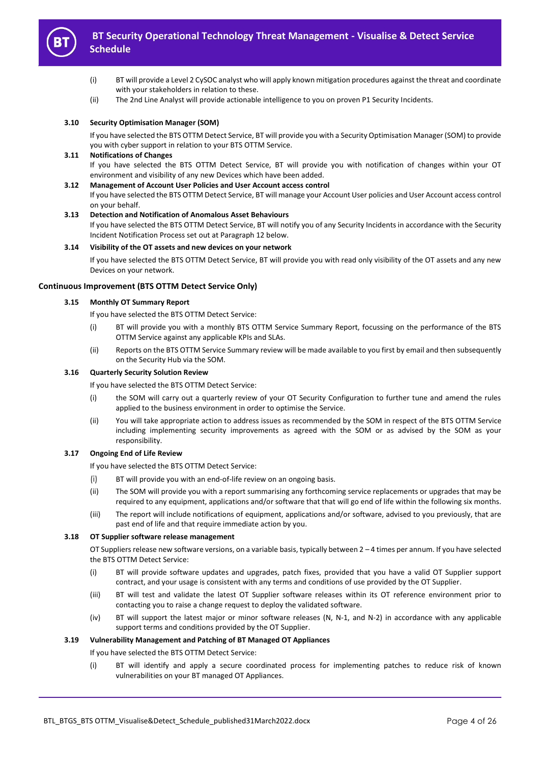

- (i) BT will provide a Level 2 CySOC analyst who will apply known mitigation procedures against the threat and coordinate with your stakeholders in relation to these.
- (ii) The 2nd Line Analyst will provide actionable intelligence to you on proven P1 Security Incidents.

#### **3.10 Security Optimisation Manager (SOM)**

If you have selected the BTS OTTM Detect Service, BT will provide you with a Security Optimisation Manager (SOM) to provide you with cyber support in relation to your BTS OTTM Service.

#### **3.11 Notifications of Changes**

If you have selected the BTS OTTM Detect Service, BT will provide you with notification of changes within your OT environment and visibility of any new Devices which have been added.

#### **3.12 Management of Account User Policies and User Account access control**

If you have selected the BTS OTTM Detect Service, BT will manage your Account User policies and User Account access control on your behalf.

#### **3.13 Detection and Notification of Anomalous Asset Behaviours**

If you have selected the BTS OTTM Detect Service, BT will notify you of any Security Incidents in accordance with the Security Incident Notification Process set out at Paragraph 12 below.

#### **3.14 Visibility of the OT assets and new devices on your network**

If you have selected the BTS OTTM Detect Service, BT will provide you with read only visibility of the OT assets and any new Devices on your network.

#### **Continuous Improvement (BTS OTTM Detect Service Only)**

## **3.15 Monthly OT Summary Report**

- If you have selected the BTS OTTM Detect Service:
- (i) BT will provide you with a monthly BTS OTTM Service Summary Report, focussing on the performance of the BTS OTTM Service against any applicable KPIs and SLAs.
- (ii) Reports on the BTS OTTM Service Summary review will be made available to you first by email and then subsequently on the Security Hub via the SOM.

#### **3.16 Quarterly Security Solution Review**

If you have selected the BTS OTTM Detect Service:

- (i) the SOM will carry out a quarterly review of your OT Security Configuration to further tune and amend the rules applied to the business environment in order to optimise the Service.
- (ii) You will take appropriate action to address issues as recommended by the SOM in respect of the BTS OTTM Service including implementing security improvements as agreed with the SOM or as advised by the SOM as your responsibility.

## **3.17 Ongoing End of Life Review**

If you have selected the BTS OTTM Detect Service:

- (i) BT will provide you with an end-of-life review on an ongoing basis.
- (ii) The SOM will provide you with a report summarising any forthcoming service replacements or upgrades that may be required to any equipment, applications and/or software that that will go end of life within the following six months.
- (iii) The report will include notifications of equipment, applications and/or software, advised to you previously, that are past end of life and that require immediate action by you.

#### **3.18 OT Supplier software release management**

OT Suppliers release new software versions, on a variable basis, typically between 2 – 4 times per annum. If you have selected the BTS OTTM Detect Service:

- (i) BT will provide software updates and upgrades, patch fixes, provided that you have a valid OT Supplier support contract, and your usage is consistent with any terms and conditions of use provided by the OT Supplier.
- (iii) BT will test and validate the latest OT Supplier software releases within its OT reference environment prior to contacting you to raise a change request to deploy the validated software.
- (iv) BT will support the latest major or minor software releases (N, N-1, and N-2) in accordance with any applicable support terms and conditions provided by the OT Supplier.

#### **3.19 Vulnerability Management and Patching of BT Managed OT Appliances**

If you have selected the BTS OTTM Detect Service:

(i) BT will identify and apply a secure coordinated process for implementing patches to reduce risk of known vulnerabilities on your BT managed OT Appliances.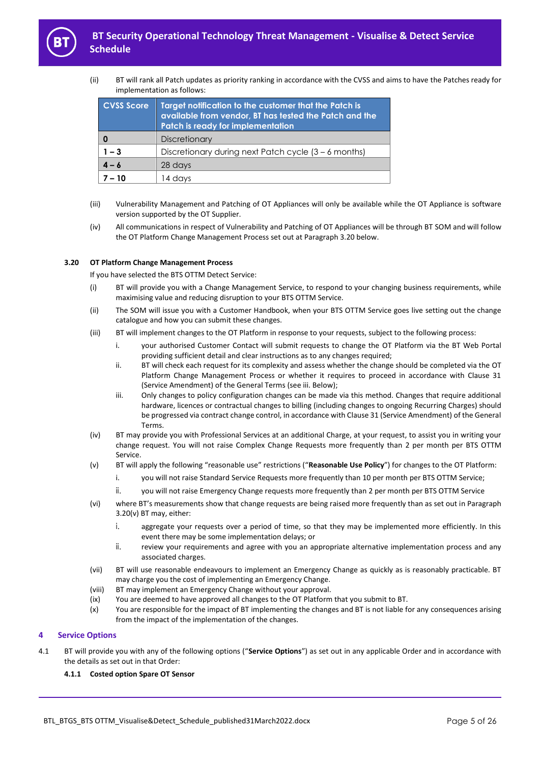

(ii) BT will rank all Patch updates as priority ranking in accordance with the CVSS and aims to have the Patches ready for implementation as follows:

| <b>CVSS Score</b><br>Target notification to the customer that the Patch is<br>available from vendor, BT has tested the Patch and the<br><b>Patch is ready for implementation</b> |                                                        |
|----------------------------------------------------------------------------------------------------------------------------------------------------------------------------------|--------------------------------------------------------|
| 0                                                                                                                                                                                | <b>Discretionary</b>                                   |
| $1 - 3$                                                                                                                                                                          | Discretionary during next Patch cycle $(3 - 6$ months) |
| $4 - 6$                                                                                                                                                                          | 28 days                                                |
|                                                                                                                                                                                  | 14 days                                                |

- (iii) Vulnerability Management and Patching of OT Appliances will only be available while the OT Appliance is software version supported by the OT Supplier.
- (iv) All communications in respect of Vulnerability and Patching of OT Appliances will be through BT SOM and will follow the OT Platform Change Management Process set out at Paragraph 3.20 below.

#### **3.20 OT Platform Change Management Process**

If you have selected the BTS OTTM Detect Service:

- (i) BT will provide you with a Change Management Service, to respond to your changing business requirements, while maximising value and reducing disruption to your BTS OTTM Service.
- (ii) The SOM will issue you with a Customer Handbook, when your BTS OTTM Service goes live setting out the change catalogue and how you can submit these changes.
- (iii) BT will implement changes to the OT Platform in response to your requests, subject to the following process:
	- i. your authorised Customer Contact will submit requests to change the OT Platform via the BT Web Portal providing sufficient detail and clear instructions as to any changes required;
	- ii. BT will check each request for its complexity and assess whether the change should be completed via the OT Platform Change Management Process or whether it requires to proceed in accordance with Clause 31 (Service Amendment) of the General Terms (see iii. Below);
	- iii. Only changes to policy configuration changes can be made via this method. Changes that require additional hardware, licences or contractual changes to billing (including changes to ongoing Recurring Charges) should be progressed via contract change control, in accordance with Clause 31 (Service Amendment) of the General Terms.
- (iv) BT may provide you with Professional Services at an additional Charge, at your request, to assist you in writing your change request. You will not raise Complex Change Requests more frequently than 2 per month per BTS OTTM Service.
- (v) BT will apply the following "reasonable use" restrictions ("**Reasonable Use Policy**") for changes to the OT Platform:
	- i. you will not raise Standard Service Requests more frequently than 10 per month per BTS OTTM Service;
	- ii. you will not raise Emergency Change requests more frequently than 2 per month per BTS OTTM Service
- (vi) where BT's measurements show that change requests are being raised more frequently than as set out in Paragraph 3.20(v) BT may, either:
	- i. aggregate your requests over a period of time, so that they may be implemented more efficiently. In this event there may be some implementation delays; or
	- ii. review your requirements and agree with you an appropriate alternative implementation process and any associated charges.
- (vii) BT will use reasonable endeavours to implement an Emergency Change as quickly as is reasonably practicable. BT may charge you the cost of implementing an Emergency Change.
- (viii) BT may implement an Emergency Change without your approval.
- (ix) You are deemed to have approved all changes to the OT Platform that you submit to BT.
- (x) You are responsible for the impact of BT implementing the changes and BT is not liable for any consequences arising from the impact of the implementation of the changes.

## **4 Service Options**

4.1 BT will provide you with any of the following options ("**Service Options**") as set out in any applicable Order and in accordance with the details as set out in that Order:

#### **4.1.1 Costed option Spare OT Sensor**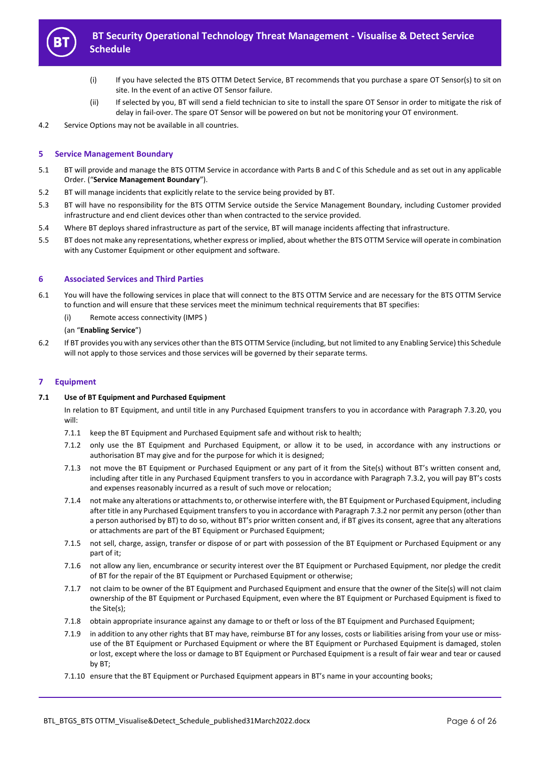

- (i) If you have selected the BTS OTTM Detect Service, BT recommends that you purchase a spare OT Sensor(s) to sit on site. In the event of an active OT Sensor failure.
- (ii) If selected by you, BT will send a field technician to site to install the spare OT Sensor in order to mitigate the risk of delay in fail-over. The spare OT Sensor will be powered on but not be monitoring your OT environment.
- 4.2 Service Options may not be available in all countries.

## **5 Service Management Boundary**

- <span id="page-5-1"></span>5.1 BT will provide and manage the BTS OTTM Service in accordance with Parts B and C of this Schedule and as set out in any applicable Order. ("**Service Management Boundary**").
- 5.2 BT will manage incidents that explicitly relate to the service being provided by BT.
- 5.3 BT will have no responsibility for the BTS OTTM Service outside the Service Management Boundary, including Customer provided infrastructure and end client devices other than when contracted to the service provided.
- 5.4 Where BT deploys shared infrastructure as part of the service, BT will manage incidents affecting that infrastructure.
- 5.5 BT does not make any representations, whether express or implied, about whether the BTS OTTM Service will operate in combination with any Customer Equipment or other equipment and software.

#### **6 Associated Services and Third Parties**

- <span id="page-5-0"></span>6.1 You will have the following services in place that will connect to the BTS OTTM Service and are necessary for the BTS OTTM Service to function and will ensure that these services meet the minimum technical requirements that BT specifies:
	- (i) Remote access connectivity (IMPS )

#### (an "**Enabling Service**")

6.2 If BT provides you with any services other than the BTS OTTM Service (including, but not limited to any Enabling Service) this Schedule will not apply to those services and those services will be governed by their separate terms.

#### **7 Equipment**

#### **7.1 Use of BT Equipment and Purchased Equipment**

In relation to BT Equipment, and until title in any Purchased Equipment transfers to you in accordance with Paragraph 7.3.[20,](#page-6-0) you will:

- 7.1.1 keep the BT Equipment and Purchased Equipment safe and without risk to health;
- 7.1.2 only use the BT Equipment and Purchased Equipment, or allow it to be used, in accordance with any instructions or authorisation BT may give and for the purpose for which it is designed;
- 7.1.3 not move the BT Equipment or Purchased Equipment or any part of it from the Site(s) without BT's written consent and, including after title in any Purchased Equipment transfers to you in accordance with Paragraph 7.3.2, you will pay BT's costs and expenses reasonably incurred as a result of such move or relocation;
- 7.1.4 not make any alterations or attachments to, or otherwise interfere with, the BT Equipment or Purchased Equipment, including after title in any Purchased Equipment transfers to you in accordance with Paragraph 7.3.2 nor permit any person (other than a person authorised by BT) to do so, without BT's prior written consent and, if BT gives its consent, agree that any alterations or attachments are part of the BT Equipment or Purchased Equipment;
- 7.1.5 not sell, charge, assign, transfer or dispose of or part with possession of the BT Equipment or Purchased Equipment or any part of it;
- 7.1.6 not allow any lien, encumbrance or security interest over the BT Equipment or Purchased Equipment, nor pledge the credit of BT for the repair of the BT Equipment or Purchased Equipment or otherwise;
- 7.1.7 not claim to be owner of the BT Equipment and Purchased Equipment and ensure that the owner of the Site(s) will not claim ownership of the BT Equipment or Purchased Equipment, even where the BT Equipment or Purchased Equipment is fixed to the Site(s);
- 7.1.8 obtain appropriate insurance against any damage to or theft or loss of the BT Equipment and Purchased Equipment;
- 7.1.9 in addition to any other rights that BT may have, reimburse BT for any losses, costs or liabilities arising from your use or missuse of the BT Equipment or Purchased Equipment or where the BT Equipment or Purchased Equipment is damaged, stolen or lost, except where the loss or damage to BT Equipment or Purchased Equipment is a result of fair wear and tear or caused by BT;
- 7.1.10 ensure that the BT Equipment or Purchased Equipment appears in BT's name in your accounting books;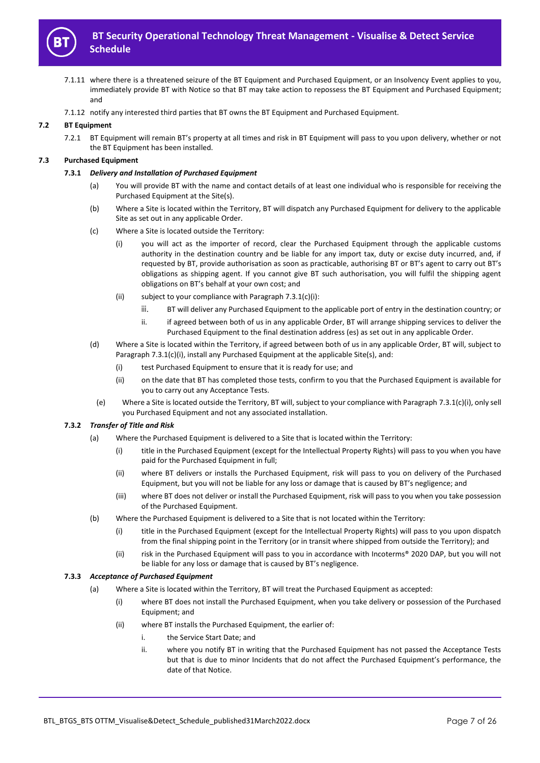

- 7.1.11 where there is a threatened seizure of the BT Equipment and Purchased Equipment, or an Insolvency Event applies to you, immediately provide BT with Notice so that BT may take action to repossess the BT Equipment and Purchased Equipment; and
- 7.1.12 notify any interested third parties that BT owns the BT Equipment and Purchased Equipment.

# **7.2 BT Equipment**

7.2.1 BT Equipment will remain BT's property at all times and risk in BT Equipment will pass to you upon delivery, whether or not the BT Equipment has been installed.

## **7.3 Purchased Equipment**

#### **7.3.1** *Delivery and Installation of Purchased Equipment*

- (a) You will provide BT with the name and contact details of at least one individual who is responsible for receiving the Purchased Equipment at the Site(s).
- (b) Where a Site is located within the Territory, BT will dispatch any Purchased Equipment for delivery to the applicable Site as set out in any applicable Order.
- (c) Where a Site is located outside the Territory:
	- (i) you will act as the importer of record, clear the Purchased Equipment through the applicable customs authority in the destination country and be liable for any import tax, duty or excise duty incurred, and, if requested by BT, provide authorisation as soon as practicable, authorising BT or BT's agent to carry out BT's obligations as shipping agent. If you cannot give BT such authorisation, you will fulfil the shipping agent obligations on BT's behalf at your own cost; and
	- (ii) subject to your compliance with Paragraph 7.3.1(c)(i):
		- iii. BT will deliver any Purchased Equipment to the applicable port of entry in the destination country; or
		- ii. if agreed between both of us in any applicable Order, BT will arrange shipping services to deliver the Purchased Equipment to the final destination address (es) as set out in any applicable Order.
- (d) Where a Site is located within the Territory, if agreed between both of us in any applicable Order, BT will, subject to Paragraph 7.3.1(c)(i), install any Purchased Equipment at the applicable Site(s), and:
	- (i) test Purchased Equipment to ensure that it is ready for use; and
	- (ii) on the date that BT has completed those tests, confirm to you that the Purchased Equipment is available for you to carry out any Acceptance Tests.
	- (e) Where a Site is located outside the Territory, BT will, subject to your compliance with Paragraph 7.3.1(c)(i), only sell you Purchased Equipment and not any associated installation.

# <span id="page-6-0"></span>**7.3.2** *Transfer of Title and Risk*

- (a) Where the Purchased Equipment is delivered to a Site that is located within the Territory:
	- (i) title in the Purchased Equipment (except for the Intellectual Property Rights) will pass to you when you have paid for the Purchased Equipment in full;
	- (ii) where BT delivers or installs the Purchased Equipment, risk will pass to you on delivery of the Purchased Equipment, but you will not be liable for any loss or damage that is caused by BT's negligence; and
	- (iii) where BT does not deliver or install the Purchased Equipment, risk will pass to you when you take possession of the Purchased Equipment.
- (b) Where the Purchased Equipment is delivered to a Site that is not located within the Territory:
	- (i) title in the Purchased Equipment (except for the Intellectual Property Rights) will pass to you upon dispatch from the final shipping point in the Territory (or in transit where shipped from outside the Territory); and
	- (ii) risk in the Purchased Equipment will pass to you in accordance with Incoterms® 2020 DAP, but you will not be liable for any loss or damage that is caused by BT's negligence.

#### **7.3.3** *Acceptance of Purchased Equipment*

- (a) Where a Site is located within the Territory, BT will treat the Purchased Equipment as accepted:
	- (i) where BT does not install the Purchased Equipment, when you take delivery or possession of the Purchased Equipment; and
	- (ii) where BT installs the Purchased Equipment, the earlier of:
		- i. the Service Start Date; and
		- ii. where you notify BT in writing that the Purchased Equipment has not passed the Acceptance Tests but that is due to minor Incidents that do not affect the Purchased Equipment's performance, the date of that Notice.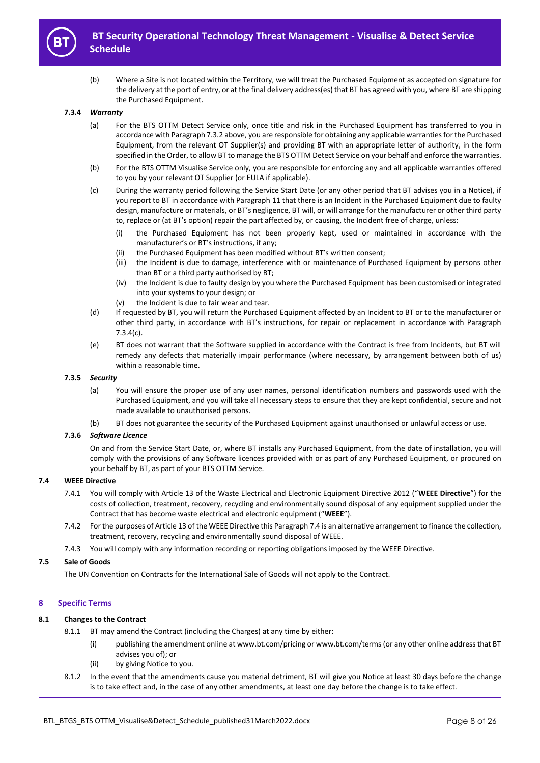

(b) Where a Site is not located within the Territory, we will treat the Purchased Equipment as accepted on signature for the delivery at the port of entry, or at the final delivery address(es) that BT has agreed with you, where BT are shipping the Purchased Equipment.

#### **7.3.4** *Warranty*

- (a) For the BTS OTTM Detect Service only, once title and risk in the Purchased Equipment has transferred to you in accordance with Paragraph 7.3.2 above, you are responsible for obtaining any applicable warranties for the Purchased Equipment, from the relevant OT Supplier(s) and providing BT with an appropriate letter of authority, in the form specified in the Order, to allow BT to manage the BTS OTTM Detect Service on your behalf and enforce the warranties.
- (b) For the BTS OTTM Visualise Service only, you are responsible for enforcing any and all applicable warranties offered to you by your relevant OT Supplier (or EULA if applicable).
- (c) During the warranty period following the Service Start Date (or any other period that BT advises you in a Notice), if you report to BT in accordance with Paragraph 11 that there is an Incident in the Purchased Equipment due to faulty design, manufacture or materials, or BT's negligence, BT will, or will arrange for the manufacturer or other third party to, replace or (at BT's option) repair the part affected by, or causing, the Incident free of charge, unless:
	- (i) the Purchased Equipment has not been properly kept, used or maintained in accordance with the manufacturer's or BT's instructions, if any;
	- (ii) the Purchased Equipment has been modified without BT's written consent;
	- (iii) the Incident is due to damage, interference with or maintenance of Purchased Equipment by persons other than BT or a third party authorised by BT;
	- (iv) the Incident is due to faulty design by you where the Purchased Equipment has been customised or integrated into your systems to your design; or
	- (v) the Incident is due to fair wear and tear.
- (d) If requested by BT, you will return the Purchased Equipment affected by an Incident to BT or to the manufacturer or other third party, in accordance with BT's instructions, for repair or replacement in accordance with Paragraph 7.3.4(c).
- (e) BT does not warrant that the Software supplied in accordance with the Contract is free from Incidents, but BT will remedy any defects that materially impair performance (where necessary, by arrangement between both of us) within a reasonable time.

#### **7.3.5** *Security*

- (a) You will ensure the proper use of any user names, personal identification numbers and passwords used with the Purchased Equipment, and you will take all necessary steps to ensure that they are kept confidential, secure and not made available to unauthorised persons.
- (b) BT does not guarantee the security of the Purchased Equipment against unauthorised or unlawful access or use.

## **7.3.6** *Software Licence*

On and from the Service Start Date, or, where BT installs any Purchased Equipment, from the date of installation, you will comply with the provisions of any Software licences provided with or as part of any Purchased Equipment, or procured on your behalf by BT, as part of your BTS OTTM Service.

#### **7.4 WEEE Directive**

- 7.4.1 You will comply with Article 13 of the Waste Electrical and Electronic Equipment Directive 2012 ("**WEEE Directive**") for the costs of collection, treatment, recovery, recycling and environmentally sound disposal of any equipment supplied under the Contract that has become waste electrical and electronic equipment ("**WEEE**").
- 7.4.2 For the purposes of Article 13 of the WEEE Directive this Paragraph 7.4 is an alternative arrangement to finance the collection, treatment, recovery, recycling and environmentally sound disposal of WEEE.
- 7.4.3 You will comply with any information recording or reporting obligations imposed by the WEEE Directive.

#### **7.5 Sale of Goods**

The UN Convention on Contracts for the International Sale of Goods will not apply to the Contract.

#### **8 Specific Terms**

## **8.1 Changes to the Contract**

- 8.1.1 BT may amend the Contract (including the Charges) at any time by either:
	- (i) publishing the amendment online at www.bt.com/pricing or www.bt.com/terms (or any other online address that BT advises you of); or
	- (ii) by giving Notice to you.
- 8.1.2 In the event that the amendments cause you material detriment, BT will give you Notice at least 30 days before the change is to take effect and, in the case of any other amendments, at least one day before the change is to take effect.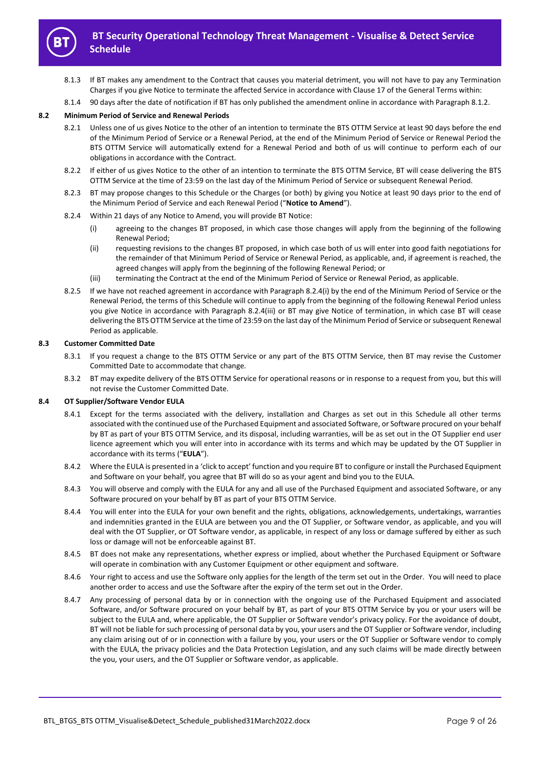

- 8.1.3 If BT makes any amendment to the Contract that causes you material detriment, you will not have to pay any Termination Charges if you give Notice to terminate the affected Service in accordance with Clause 17 of the General Terms within:
- 8.1.4 90 days after the date of notification if BT has only published the amendment online in accordance with Paragraph 8.1.2.

#### **8.2 Minimum Period of Service and Renewal Periods**

- 8.2.1 Unless one of us gives Notice to the other of an intention to terminate the BTS OTTM Service at least 90 days before the end of the Minimum Period of Service or a Renewal Period, at the end of the Minimum Period of Service or Renewal Period the BTS OTTM Service will automatically extend for a Renewal Period and both of us will continue to perform each of our obligations in accordance with the Contract.
- 8.2.2 If either of us gives Notice to the other of an intention to terminate the BTS OTTM Service, BT will cease delivering the BTS OTTM Service at the time of 23:59 on the last day of the Minimum Period of Service or subsequent Renewal Period.
- 8.2.3 BT may propose changes to this Schedule or the Charges (or both) by giving you Notice at least 90 days prior to the end of the Minimum Period of Service and each Renewal Period ("**Notice to Amend**").
- 8.2.4 Within 21 days of any Notice to Amend, you will provide BT Notice:
	- (i) agreeing to the changes BT proposed, in which case those changes will apply from the beginning of the following Renewal Period;
	- (ii) requesting revisions to the changes BT proposed, in which case both of us will enter into good faith negotiations for the remainder of that Minimum Period of Service or Renewal Period, as applicable, and, if agreement is reached, the agreed changes will apply from the beginning of the following Renewal Period; or
	- (iii) terminating the Contract at the end of the Minimum Period of Service or Renewal Period, as applicable.
- 8.2.5 If we have not reached agreement in accordance with Paragraph 8.2.4(i) by the end of the Minimum Period of Service or the Renewal Period, the terms of this Schedule will continue to apply from the beginning of the following Renewal Period unless you give Notice in accordance with Paragraph 8.2.4(iii) or BT may give Notice of termination, in which case BT will cease delivering the BTS OTTM Service at the time of 23:59 on the last day of the Minimum Period of Service or subsequent Renewal Period as applicable.

#### **8.3 Customer Committed Date**

- 8.3.1 If you request a change to the BTS OTTM Service or any part of the BTS OTTM Service, then BT may revise the Customer Committed Date to accommodate that change.
- 8.3.2 BT may expedite delivery of the BTS OTTM Service for operational reasons or in response to a request from you, but this will not revise the Customer Committed Date.

#### **8.4 OT Supplier/Software Vendor EULA**

- 8.4.1 Except for the terms associated with the delivery, installation and Charges as set out in this Schedule all other terms associated with the continued use of the Purchased Equipment and associated Software, or Software procured on your behalf by BT as part of your BTS OTTM Service, and its disposal, including warranties, will be as set out in the OT Supplier end user licence agreement which you will enter into in accordance with its terms and which may be updated by the OT Supplier in accordance with its terms ("**EULA**").
- 8.4.2 Where the EULA is presented in a 'click to accept' function and you require BT to configure or install the Purchased Equipment and Software on your behalf, you agree that BT will do so as your agent and bind you to the EULA.
- 8.4.3 You will observe and comply with the EULA for any and all use of the Purchased Equipment and associated Software, or any Software procured on your behalf by BT as part of your BTS OTTM Service.
- 8.4.4 You will enter into the EULA for your own benefit and the rights, obligations, acknowledgements, undertakings, warranties and indemnities granted in the EULA are between you and the OT Supplier, or Software vendor, as applicable, and you will deal with the OT Supplier, or OT Software vendor, as applicable, in respect of any loss or damage suffered by either as such loss or damage will not be enforceable against BT.
- 8.4.5 BT does not make any representations, whether express or implied, about whether the Purchased Equipment or Software will operate in combination with any Customer Equipment or other equipment and software.
- 8.4.6 Your right to access and use the Software only applies for the length of the term set out in the Order. You will need to place another order to access and use the Software after the expiry of the term set out in the Order.
- 8.4.7 Any processing of personal data by or in connection with the ongoing use of the Purchased Equipment and associated Software, and/or Software procured on your behalf by BT, as part of your BTS OTTM Service by you or your users will be subject to the EULA and, where applicable, the OT Supplier or Software vendor's privacy policy. For the avoidance of doubt, BT will not be liable for such processing of personal data by you, your users and the OT Supplier or Software vendor, including any claim arising out of or in connection with a failure by you, your users or the OT Supplier or Software vendor to comply with the EULA, the privacy policies and the Data Protection Legislation, and any such claims will be made directly between the you, your users, and the OT Supplier or Software vendor, as applicable.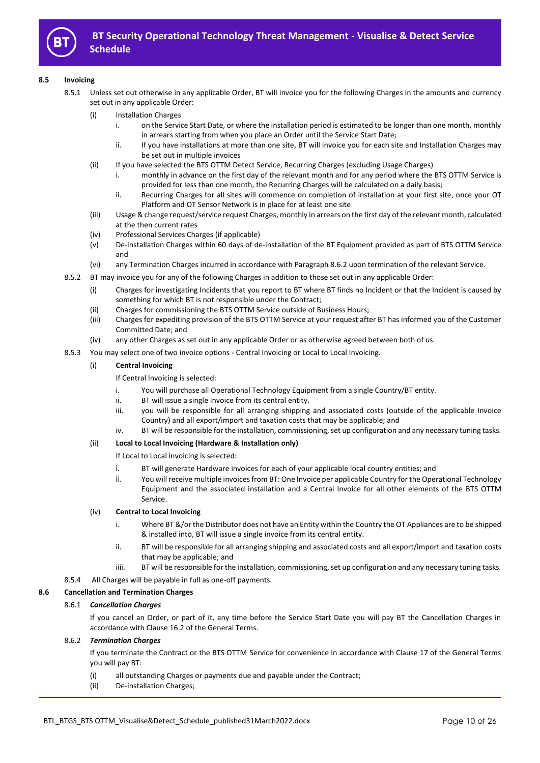

## **8.5 Invoicing**

- 8.5.1 Unless set out otherwise in any applicable Order, BT will invoice you for the following Charges in the amounts and currency set out in any applicable Order:
	- (i) Installation Charges
		- i. on the Service Start Date, or where the installation period is estimated to be longer than one month, monthly in arrears starting from when you place an Order until the Service Start Date;
		- ii. If you have installations at more than one site, BT will invoice you for each site and Installation Charges may be set out in multiple invoices
	- (ii) If you have selected the BTS OTTM Detect Service, Recurring Charges (excluding Usage Charges)
		- i. monthly in advance on the first day of the relevant month and for any period where the BTS OTTM Service is provided for less than one month, the Recurring Charges will be calculated on a daily basis;
		- ii. Recurring Charges for all sites will commence on completion of installation at your first site, once your OT Platform and OT Sensor Network is in place for at least one site
	- (iii) Usage & change request/service request Charges, monthly in arrears on the first day of the relevant month, calculated at the then current rates
	- (iv) Professional Services Charges (if applicable)
	- (v) De-installation Charges within 60 days of de-installation of the BT Equipment provided as part of BTS OTTM Service and
	- (vi) any Termination Charges incurred in accordance with Paragraph 8.6.2 upon termination of the relevant Service.
- 8.5.2 BT may invoice you for any of the following Charges in addition to those set out in any applicable Order:
	- (i) Charges for investigating Incidents that you report to BT where BT finds no Incident or that the Incident is caused by something for which BT is not responsible under the Contract;
	- (ii) Charges for commissioning the BTS OTTM Service outside of Business Hours;
	- (iii) Charges for expediting provision of the BTS OTTM Service at your request after BT has informed you of the Customer Committed Date; and
	- (iv) any other Charges as set out in any applicable Order or as otherwise agreed between both of us.
- 8.5.3 You may select one of two invoice options Central Invoicing or Local to Local Invoicing.

## (i) **Central Invoicing**

## If Central Invoicing is selected:

- i. You will purchase all Operational Technology Equipment from a single Country/BT entity.
- ii. BT will issue a single invoice from its central entity.
- iii. you will be responsible for all arranging shipping and associated costs (outside of the applicable Invoice Country) and all export/import and taxation costs that may be applicable; and
- iv. BT will be responsible for the installation, commissioning, set up configuration and any necessary tuning tasks.

# (ii) **Local to Local Invoicing (Hardware & Installation only)**

If Local to Local invoicing is selected:

- i. BT will generate Hardware invoices for each of your applicable local country entities; and
- ii. You will receive multiple invoices from BT: One Invoice per applicable Country for the Operational Technology Equipment and the associated installation and a Central Invoice for all other elements of the BTS OTTM Service.

## (iv) **Central to Local Invoicing**

- i. Where BT &/or the Distributor does not have an Entity within the Country the OT Appliances are to be shipped & installed into, BT will issue a single invoice from its central entity.
- ii. BT will be responsible for all arranging shipping and associated costs and all export/import and taxation costs that may be applicable; and
- iiii. BT will be responsible for the installation, commissioning, set up configuration and any necessary tuning tasks.
- 8.5.4 All Charges will be payable in full as one-off payments.

#### **8.6 Cancellation and Termination Charges**

# 8.6.1 *Cancellation Charges*

If you cancel an Order, or part of it, any time before the Service Start Date you will pay BT the Cancellation Charges in accordance with Clause 16.2 of the General Terms.

#### 8.6.2 *Termination Charges*

If you terminate the Contract or the BTS OTTM Service for convenience in accordance with Clause 17 of the General Terms you will pay BT:

- (i) all outstanding Charges or payments due and payable under the Contract;
- (ii) De-installation Charges;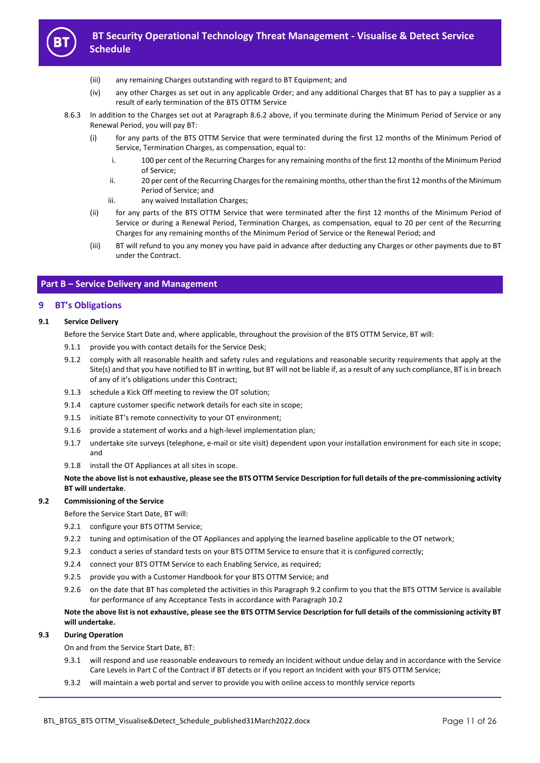

- (iii) any remaining Charges outstanding with regard to BT Equipment; and
- (iv) any other Charges as set out in any applicable Order; and any additional Charges that BT has to pay a supplier as a result of early termination of the BTS OTTM Service
- 8.6.3 In addition to the Charges set out at Paragraph 8.6.2 above, if you terminate during the Minimum Period of Service or any Renewal Period, you will pay BT:
	- (i) for any parts of the BTS OTTM Service that were terminated during the first 12 months of the Minimum Period of Service, Termination Charges, as compensation, equal to:
		- i. 100 per cent of the Recurring Charges for any remaining months of the first 12 months of the Minimum Period of Service;
		- ii. 20 per cent of the Recurring Charges for the remaining months, other than the first 12 months of the Minimum Period of Service; and
		- iii. any waived Installation Charges;
	- (ii) for any parts of the BTS OTTM Service that were terminated after the first 12 months of the Minimum Period of Service or during a Renewal Period, Termination Charges, as compensation, equal to 20 per cent of the Recurring Charges for any remaining months of the Minimum Period of Service or the Renewal Period; and
	- (iii) BT will refund to you any money you have paid in advance after deducting any Charges or other payments due to BT under the Contract.

## **Part B – Service Delivery and Management**

## **9 BT's Obligations**

#### **9.1 Service Delivery**

Before the Service Start Date and, where applicable, throughout the provision of the BTS OTTM Service, BT will:

- 9.1.1 provide you with contact details for the Service Desk;
- 9.1.2 comply with all reasonable health and safety rules and regulations and reasonable security requirements that apply at the Site(s) and that you have notified to BT in writing, but BT will not be liable if, as a result of any such compliance, BT is in breach of any of it's obligations under this Contract;
- 9.1.3 schedule a Kick Off meeting to review the OT solution;
- 9.1.4 capture customer specific network details for each site in scope;
- 9.1.5 initiate BT's remote connectivity to your OT environment;
- 9.1.6 provide a statement of works and a high-level implementation plan;
- 9.1.7 undertake site surveys (telephone, e-mail or site visit) dependent upon your installation environment for each site in scope; and
- 9.1.8 install the OT Appliances at all sites in scope.

**Note the above list is not exhaustive, please see the BTS OTTM Service Description for full details of the pre-commissioning activity BT will undertake**.

#### **9.2 Commissioning of the Service**

Before the Service Start Date, BT will:

- 9.2.1 configure your BTS OTTM Service;
- 9.2.2 tuning and optimisation of the OT Appliances and applying the learned baseline applicable to the OT network;
- 9.2.3 conduct a series of standard tests on your BTS OTTM Service to ensure that it is configured correctly;
- 9.2.4 connect your BTS OTTM Service to each Enabling Service, as required;
- 9.2.5 provide you with a Customer Handbook for your BTS OTTM Service; and
- 9.2.6 on the date that BT has completed the activities in this Paragraph 9.2 confirm to you that the BTS OTTM Service is available for performance of any Acceptance Tests in accordance with Paragraph 10.2

## **Note the above list is not exhaustive, please see the BTS OTTM Service Description for full details of the commissioning activity BT will undertake.**

## **9.3 During Operation**

On and from the Service Start Date, BT:

- 9.3.1 will respond and use reasonable endeavours to remedy an Incident without undue delay and in accordance with the Service Care Levels in Part C of the Contract if BT detects or if you report an Incident with your BTS OTTM Service;
- 9.3.2 will maintain a web portal and server to provide you with online access to monthly service reports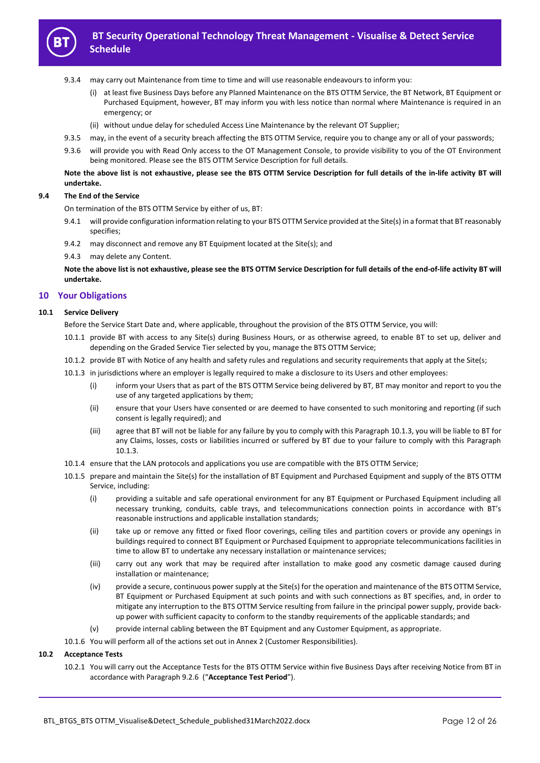

- 9.3.4 may carry out Maintenance from time to time and will use reasonable endeavours to inform you:
	- (i) at least five Business Days before any Planned Maintenance on the BTS OTTM Service, the BT Network, BT Equipment or Purchased Equipment, however, BT may inform you with less notice than normal where Maintenance is required in an emergency; or
	- (ii) without undue delay for scheduled Access Line Maintenance by the relevant OT Supplier;
- 9.3.5 may, in the event of a security breach affecting the BTS OTTM Service, require you to change any or all of your passwords;
- 9.3.6 will provide you with Read Only access to the OT Management Console, to provide visibility to you of the OT Environment being monitored. Please see the BTS OTTM Service Description for full details.

# **Note the above list is not exhaustive, please see the BTS OTTM Service Description for full details of the in-life activity BT will undertake.**

### **9.4 The End of the Service**

On termination of the BTS OTTM Service by either of us, BT:

- 9.4.1 will provide configuration information relating to your BTS OTTM Service provided at the Site(s) in a format that BT reasonably specifies;
- 9.4.2 may disconnect and remove any BT Equipment located at the Site(s); and
- 9.4.3 may delete any Content.

**Note the above list is not exhaustive, please see the BTS OTTM Service Description for full details of the end-of-life activity BT will undertake.**

## **10 Your Obligations**

## **10.1 Service Delivery**

Before the Service Start Date and, where applicable, throughout the provision of the BTS OTTM Service, you will:

- 10.1.1 provide BT with access to any Site(s) during Business Hours, or as otherwise agreed, to enable BT to set up, deliver and depending on the Graded Service Tier selected by you, manage the BTS OTTM Service;
- 10.1.2 provide BT with Notice of any health and safety rules and regulations and security requirements that apply at the Site(s;
- 10.1.3 in jurisdictions where an employer is legally required to make a disclosure to its Users and other employees:
	- (i) inform your Users that as part of the BTS OTTM Service being delivered by BT, BT may monitor and report to you the use of any targeted applications by them;
	- (ii) ensure that your Users have consented or are deemed to have consented to such monitoring and reporting (if such consent is legally required); and
	- (iii) agree that BT will not be liable for any failure by you to comply with this Paragraph 10.1.3, you will be liable to BT for any Claims, losses, costs or liabilities incurred or suffered by BT due to your failure to comply with this Paragraph 10.1.3.
- 10.1.4 ensure that the LAN protocols and applications you use are compatible with the BTS OTTM Service;
- 10.1.5 prepare and maintain the Site(s) for the installation of BT Equipment and Purchased Equipment and supply of the BTS OTTM Service, including:
	- (i) providing a suitable and safe operational environment for any BT Equipment or Purchased Equipment including all necessary trunking, conduits, cable trays, and telecommunications connection points in accordance with BT's reasonable instructions and applicable installation standards;
	- (ii) take up or remove any fitted or fixed floor coverings, ceiling tiles and partition covers or provide any openings in buildings required to connect BT Equipment or Purchased Equipment to appropriate telecommunications facilities in time to allow BT to undertake any necessary installation or maintenance services;
	- (iii) carry out any work that may be required after installation to make good any cosmetic damage caused during installation or maintenance;
	- (iv) provide a secure, continuous power supply at the Site(s) for the operation and maintenance of the BTS OTTM Service, BT Equipment or Purchased Equipment at such points and with such connections as BT specifies, and, in order to mitigate any interruption to the BTS OTTM Service resulting from failure in the principal power supply, provide backup power with sufficient capacity to conform to the standby requirements of the applicable standards; and
	- (v) provide internal cabling between the BT Equipment and any Customer Equipment, as appropriate.
- 10.1.6 You will perform all of the actions set out in Annex 2 (Customer Responsibilities).

## **10.2 Acceptance Tests**

10.2.1 You will carry out the Acceptance Tests for the BTS OTTM Service within five Business Days after receiving Notice from BT in accordance with Paragraph 9.2.6 ("**Acceptance Test Period**").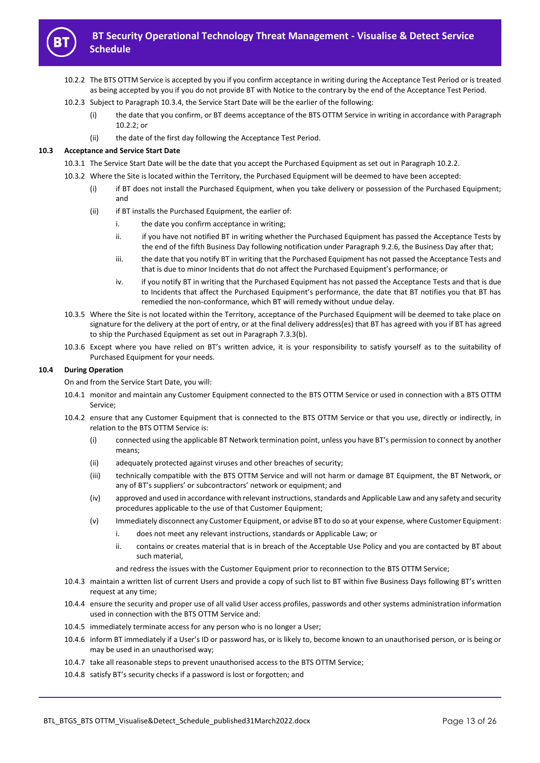

- 10.2.2 The BTS OTTM Service is accepted by you if you confirm acceptance in writing during the Acceptance Test Period or is treated as being accepted by you if you do not provide BT with Notice to the contrary by the end of the Acceptance Test Period.
- 10.2.3 Subject to Paragraph 10.3.4, the Service Start Date will be the earlier of the following:
	- (i) the date that you confirm, or BT deems acceptance of the BTS OTTM Service in writing in accordance with Paragraph 10.2.2; or
	- (ii) the date of the first day following the Acceptance Test Period.

#### **10.3 Acceptance and Service Start Date**

- 10.3.1 The Service Start Date will be the date that you accept the Purchased Equipment as set out in Paragraph 10.2.2.
- 10.3.2 Where the Site is located within the Territory, the Purchased Equipment will be deemed to have been accepted:
	- (i) if BT does not install the Purchased Equipment, when you take delivery or possession of the Purchased Equipment; and
	- (ii) if BT installs the Purchased Equipment, the earlier of:
		- i. the date you confirm acceptance in writing;
		- ii. if you have not notified BT in writing whether the Purchased Equipment has passed the Acceptance Tests by the end of the fifth Business Day following notification under Paragraph 9.2.6, the Business Day after that;
		- iii. the date that you notify BT in writing that the Purchased Equipment has not passed the Acceptance Tests and that is due to minor Incidents that do not affect the Purchased Equipment's performance; or
		- iv. if you notify BT in writing that the Purchased Equipment has not passed the Acceptance Tests and that is due to Incidents that affect the Purchased Equipment's performance, the date that BT notifies you that BT has remedied the non-conformance, which BT will remedy without undue delay.
- 10.3.5 Where the Site is not located within the Territory, acceptance of the Purchased Equipment will be deemed to take place on signature for the delivery at the port of entry, or at the final delivery address(es) that BT has agreed with you if BT has agreed to ship the Purchased Equipment as set out in Paragraph 7.3.3(b).
- 10.3.6 Except where you have relied on BT's written advice, it is your responsibility to satisfy yourself as to the suitability of Purchased Equipment for your needs.

#### **10.4 During Operation**

On and from the Service Start Date, you will:

- 10.4.1 monitor and maintain any Customer Equipment connected to the BTS OTTM Service or used in connection with a BTS OTTM Service;
- 10.4.2 ensure that any Customer Equipment that is connected to the BTS OTTM Service or that you use, directly or indirectly, in relation to the BTS OTTM Service is:
	- (i) connected using the applicable BT Network termination point, unless you have BT's permission to connect by another means;
	- (ii) adequately protected against viruses and other breaches of security;
	- (iii) technically compatible with the BTS OTTM Service and will not harm or damage BT Equipment, the BT Network, or any of BT's suppliers' or subcontractors' network or equipment; and
	- (iv) approved and used in accordance with relevant instructions, standards and Applicable Law and any safety and security procedures applicable to the use of that Customer Equipment;
	- (v) Immediately disconnect any Customer Equipment, or advise BT to do so at your expense, where Customer Equipment:
		- i. does not meet any relevant instructions, standards or Applicable Law; or
		- ii. contains or creates material that is in breach of the Acceptable Use Policy and you are contacted by BT about such material,

and redress the issues with the Customer Equipment prior to reconnection to the BTS OTTM Service;

- 10.4.3 maintain a written list of current Users and provide a copy of such list to BT within five Business Days following BT's written request at any time;
- 10.4.4 ensure the security and proper use of all valid User access profiles, passwords and other systems administration information used in connection with the BTS OTTM Service and:
- 10.4.5 immediately terminate access for any person who is no longer a User;
- 10.4.6 inform BT immediately if a User's ID or password has, or is likely to, become known to an unauthorised person, or is being or may be used in an unauthorised way;
- 10.4.7 take all reasonable steps to prevent unauthorised access to the BTS OTTM Service;
- 10.4.8 satisfy BT's security checks if a password is lost or forgotten; and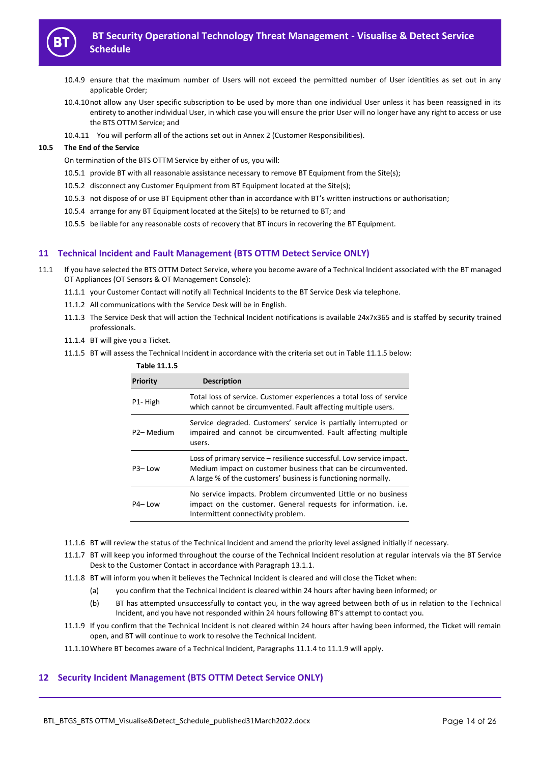

- 10.4.9 ensure that the maximum number of Users will not exceed the permitted number of User identities as set out in any applicable Order;
- 10.4.10not allow any User specific subscription to be used by more than one individual User unless it has been reassigned in its entirety to another individual User, in which case you will ensure the prior User will no longer have any right to access or use the BTS OTTM Service; and
- 10.4.11 You will perform all of the actions set out in Annex 2 (Customer Responsibilities).

#### **10.5 The End of the Service**

On termination of the BTS OTTM Service by either of us, you will:

- 10.5.1 provide BT with all reasonable assistance necessary to remove BT Equipment from the Site(s);
- 10.5.2 disconnect any Customer Equipment from BT Equipment located at the Site(s);
- 10.5.3 not dispose of or use BT Equipment other than in accordance with BT's written instructions or authorisation;
- 10.5.4 arrange for any BT Equipment located at the Site(s) to be returned to BT; and
- 10.5.5 be liable for any reasonable costs of recovery that BT incurs in recovering the BT Equipment.

## **11 Technical Incident and Fault Management (BTS OTTM Detect Service ONLY)**

- 11.1 If you have selected the BTS OTTM Detect Service, where you become aware of a Technical Incident associated with the BT managed OT Appliances (OT Sensors & OT Management Console):
	- 11.1.1 your Customer Contact will notify all Technical Incidents to the BT Service Desk via telephone.
	- 11.1.2 All communications with the Service Desk will be in English.

**Table 11.1.5**

- 11.1.3 The Service Desk that will action the Technical Incident notifications is available 24x7x365 and is staffed by security trained professionals.
- 11.1.4 BT will give you a Ticket.
- 11.1.5 BT will assess the Technical Incident in accordance with the criteria set out in Table 11.1.5 below:

| 1apie 11.1.5            |                                                                                                                                                                                                       |
|-------------------------|-------------------------------------------------------------------------------------------------------------------------------------------------------------------------------------------------------|
| <b>Priority</b>         | <b>Description</b>                                                                                                                                                                                    |
| P <sub>1</sub> -High    | Total loss of service. Customer experiences a total loss of service<br>which cannot be circumvented. Fault affecting multiple users.                                                                  |
| P <sub>2</sub> – Medium | Service degraded. Customers' service is partially interrupted or<br>impaired and cannot be circumvented. Fault affecting multiple<br>users.                                                           |
| $P3 - Low$              | Loss of primary service – resilience successful. Low service impact.<br>Medium impact on customer business that can be circumvented.<br>A large % of the customers' business is functioning normally. |
| P <sub>4</sub> –Low     | No service impacts. Problem circumvented Little or no business<br>impact on the customer. General requests for information. i.e.<br>Intermittent connectivity problem.                                |

- 11.1.6 BT will review the status of the Technical Incident and amend the priority level assigned initially if necessary.
- 11.1.7 BT will keep you informed throughout the course of the Technical Incident resolution at regular intervals via the BT Service Desk to the Customer Contact in accordance with Paragraph 13.1.1.
- 11.1.8 BT will inform you when it believes the Technical Incident is cleared and will close the Ticket when:
	- (a) you confirm that the Technical Incident is cleared within 24 hours after having been informed; or
	- (b) BT has attempted unsuccessfully to contact you, in the way agreed between both of us in relation to the Technical Incident, and you have not responded within 24 hours following BT's attempt to contact you.
- 11.1.9 If you confirm that the Technical Incident is not cleared within 24 hours after having been informed, the Ticket will remain open, and BT will continue to work to resolve the Technical Incident.

11.1.10Where BT becomes aware of a Technical Incident, Paragraphs 11.1.4 to 11.1.9 will apply.

# **12 Security Incident Management (BTS OTTM Detect Service ONLY)**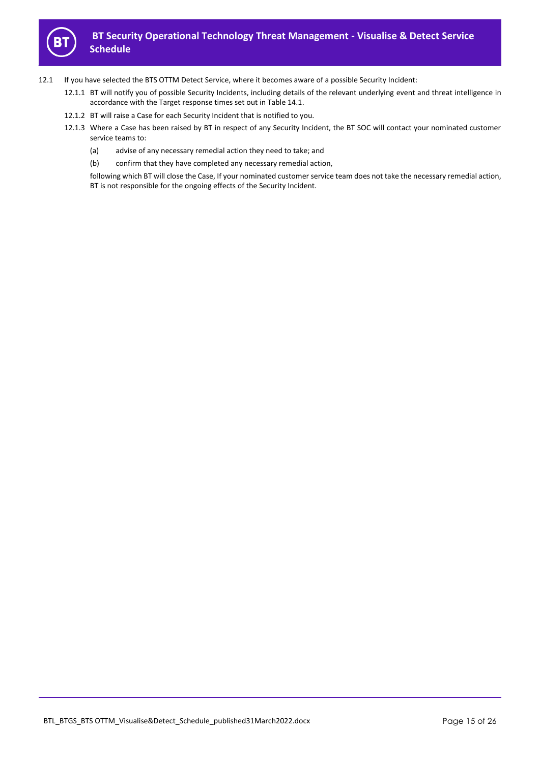

- 12.1 If you have selected the BTS OTTM Detect Service, where it becomes aware of a possible Security Incident:
	- 12.1.1 BT will notify you of possible Security Incidents, including details of the relevant underlying event and threat intelligence in accordance with the Target response times set out in Table 14.1.
	- 12.1.2 BT will raise a Case for each Security Incident that is notified to you.
	- 12.1.3 Where a Case has been raised by BT in respect of any Security Incident, the BT SOC will contact your nominated customer service teams to:
		- (a) advise of any necessary remedial action they need to take; and
		- (b) confirm that they have completed any necessary remedial action,

following which BT will close the Case, If your nominated customer service team does not take the necessary remedial action, BT is not responsible for the ongoing effects of the Security Incident.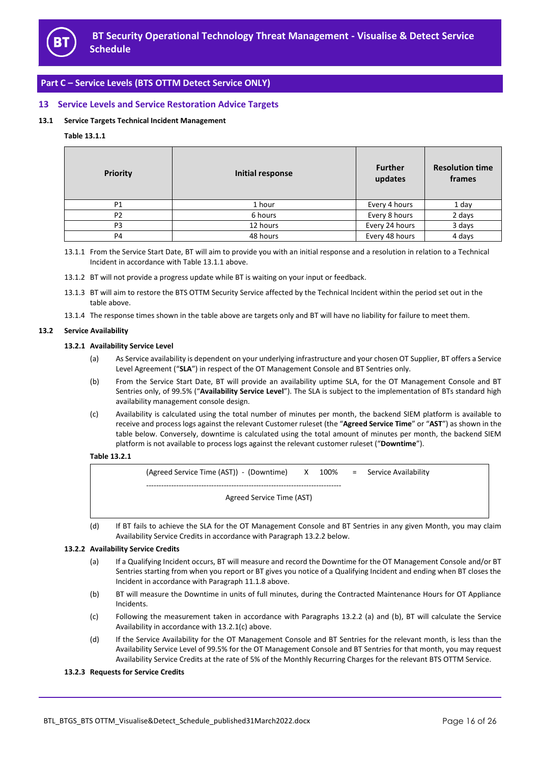

# **Part C – Service Levels (BTS OTTM Detect Service ONLY)**

# **13 Service Levels and Service Restoration Advice Targets**

## **13.1 Service Targets Technical Incident Management**

## **Table 13.1.1**

| <b>Priority</b> | <b>Initial response</b> | <b>Further</b><br>updates | <b>Resolution time</b><br>frames |
|-----------------|-------------------------|---------------------------|----------------------------------|
| P <sub>1</sub>  | 1 hour                  | Every 4 hours             | 1 day                            |
| P <sub>2</sub>  | 6 hours                 | Every 8 hours             | 2 days                           |
| P <sub>3</sub>  | 12 hours                | Every 24 hours            | 3 days                           |
| P <sub>4</sub>  | 48 hours                | Every 48 hours            | 4 days                           |

13.1.1 From the Service Start Date, BT will aim to provide you with an initial response and a resolution in relation to a Technical Incident in accordance with Table 13.1.1 above.

13.1.2 BT will not provide a progress update while BT is waiting on your input or feedback.

- 13.1.3 BT will aim to restore the BTS OTTM Security Service affected by the Technical Incident within the period set out in the table above.
- 13.1.4 The response times shown in the table above are targets only and BT will have no liability for failure to meet them.

## **13.2 Service Availability**

#### **13.2.1 Availability Service Level**

- (a) As Service availability is dependent on your underlying infrastructure and your chosen OT Supplier, BT offers a Service Level Agreement ("**SLA**") in respect of the OT Management Console and BT Sentries only.
- (b) From the Service Start Date, BT will provide an availability uptime SLA, for the OT Management Console and BT Sentries only, of 99.5% ("**Availability Service Level**"). The SLA is subject to the implementation of BTs standard high availability management console design.
- (c) Availability is calculated using the total number of minutes per month, the backend SIEM platform is available to receive and process logs against the relevant Customer ruleset (the "**Agreed Service Time**" or "**AST**") as shown in the table below. Conversely, downtime is calculated using the total amount of minutes per month, the backend SIEM platform is not available to process logs against the relevant customer ruleset ("**Downtime**").

#### **Table 13.2.1**

(Agreed Service Time (AST)) - (Downtime) X 100% = Service Availability ------------------------------------------------------------------------------ Agreed Service Time (AST)

(d) If BT fails to achieve the SLA for the OT Management Console and BT Sentries in any given Month, you may claim Availability Service Credits in accordance with Paragraph 13.2.2 below.

#### **13.2.2 Availability Service Credits**

- (a) If a Qualifying Incident occurs, BT will measure and record the Downtime for the OT Management Console and/or BT Sentries starting from when you report or BT gives you notice of a Qualifying Incident and ending when BT closes the Incident in accordance with Paragraph 11.1.8 above.
- (b) BT will measure the Downtime in units of full minutes, during the Contracted Maintenance Hours for OT Appliance Incidents.
- (c) Following the measurement taken in accordance with Paragraphs 13.2.2 (a) and (b), BT will calculate the Service Availability in accordance with 13.2.1(c) above.
- (d) If the Service Availability for the OT Management Console and BT Sentries for the relevant month, is less than the Availability Service Level of 99.5% for the OT Management Console and BT Sentries for that month, you may request Availability Service Credits at the rate of 5% of the Monthly Recurring Charges for the relevant BTS OTTM Service.

#### **13.2.3 Requests for Service Credits**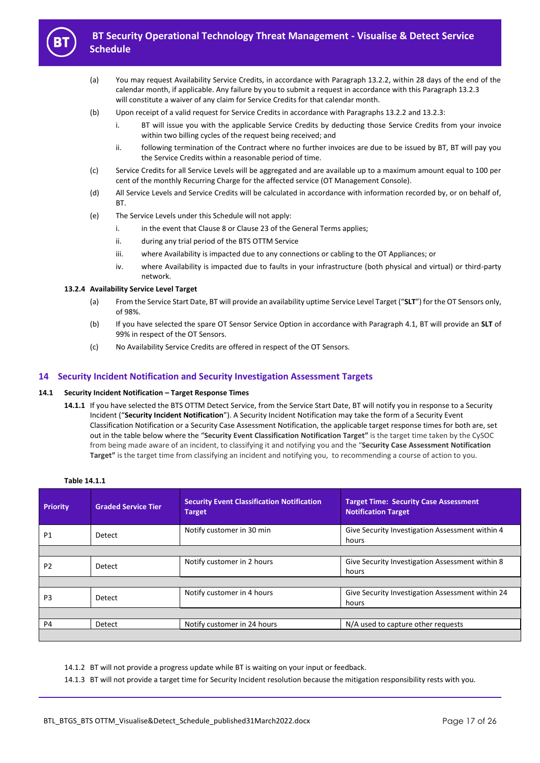

- (a) You may request Availability Service Credits, in accordance with Paragraph 13.2.2, within 28 days of the end of the calendar month, if applicable. Any failure by you to submit a request in accordance with this Paragraph 13.2.3 will constitute a waiver of any claim for Service Credits for that calendar month.
- (b) Upon receipt of a valid request for Service Credits in accordance with Paragraphs 13.2.2 and 13.2.3:
	- i. BT will issue you with the applicable Service Credits by deducting those Service Credits from your invoice within two billing cycles of the request being received; and
	- ii. following termination of the Contract where no further invoices are due to be issued by BT, BT will pay you the Service Credits within a reasonable period of time.
- (c) Service Credits for all Service Levels will be aggregated and are available up to a maximum amount equal to 100 per cent of the monthly Recurring Charge for the affected service (OT Management Console).
- (d) All Service Levels and Service Credits will be calculated in accordance with information recorded by, or on behalf of, BT.
- (e) The Service Levels under this Schedule will not apply:
	- i. in the event that Clause 8 or Clause 23 of the General Terms applies;
	- ii. during any trial period of the BTS OTTM Service
	- iii. where Availability is impacted due to any connections or cabling to the OT Appliances; or
	- iv. where Availability is impacted due to faults in your infrastructure (both physical and virtual) or third-party network.

#### **13.2.4 Availability Service Level Target**

- (a) From the Service Start Date, BT will provide an availability uptime Service Level Target ("**SLT**") for the OT Sensors only, of 98%.
- (b) If you have selected the spare OT Sensor Service Option in accordance with Paragraph 4.1, BT will provide an **SLT** of 99% in respect of the OT Sensors.
- (c) No Availability Service Credits are offered in respect of the OT Sensors.

# **14 Security Incident Notification and Security Investigation Assessment Targets**

#### **14.1 Security Incident Notification – Target Response Times**

**14.1.1** If you have selected the BTS OTTM Detect Service, from the Service Start Date, BT will notify you in response to a Security Incident ("**Security Incident Notification**"). A Security Incident Notification may take the form of a Security Event Classification Notification or a Security Case Assessment Notification, the applicable target response times for both are, set out in the table below where the "**Security Event Classification Notification Target"** is the target time taken by the CySOC from being made aware of an incident, to classifying it and notifying you and the "**Security Case Assessment Notification Target"** is the target time from classifying an incident and notifying you, to recommending a course of action to you.

| <b>Priority</b> | <b>Graded Service Tier</b> | <b>Security Event Classification Notification</b><br>Target | <b>Target Time: Security Case Assessment</b><br><b>Notification Target</b> |
|-----------------|----------------------------|-------------------------------------------------------------|----------------------------------------------------------------------------|
| P <sub>1</sub>  | Detect                     | Notify customer in 30 min                                   | Give Security Investigation Assessment within 4<br>hours                   |
|                 |                            |                                                             |                                                                            |
| P <sub>2</sub>  | Detect                     | Notify customer in 2 hours                                  | Give Security Investigation Assessment within 8<br>hours                   |
|                 |                            |                                                             |                                                                            |
| P <sub>3</sub>  | Detect                     | Notify customer in 4 hours                                  | Give Security Investigation Assessment within 24<br>hours                  |
|                 |                            |                                                             |                                                                            |
| P <sub>4</sub>  | Detect                     | Notify customer in 24 hours                                 | N/A used to capture other requests                                         |
|                 |                            |                                                             |                                                                            |

**Table 14.1.1**

14.1.2 BT will not provide a progress update while BT is waiting on your input or feedback.

14.1.3 BT will not provide a target time for Security Incident resolution because the mitigation responsibility rests with you.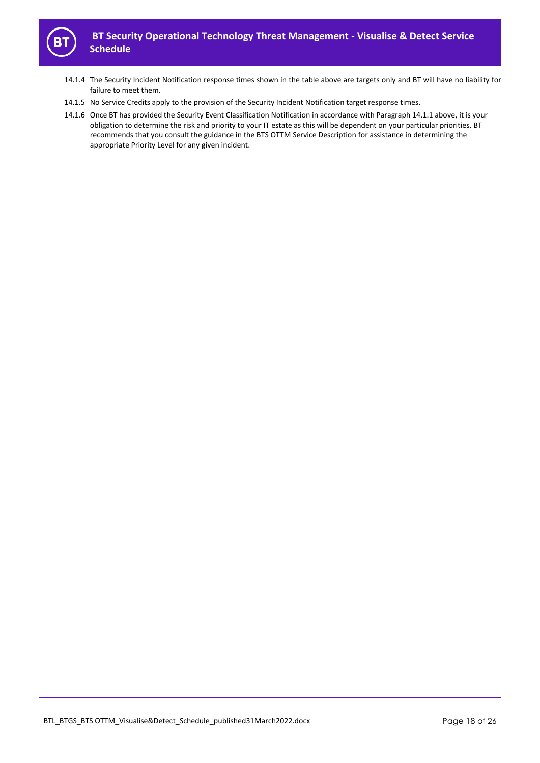

- 14.1.4 The Security Incident Notification response times shown in the table above are targets only and BT will have no liability for failure to meet them.
- 14.1.5 No Service Credits apply to the provision of the Security Incident Notification target response times.
- 14.1.6 Once BT has provided the Security Event Classification Notification in accordance with Paragraph 14.1.1 above, it is your obligation to determine the risk and priority to your IT estate as this will be dependent on your particular priorities. BT recommends that you consult the guidance in the BTS OTTM Service Description for assistance in determining the appropriate Priority Level for any given incident.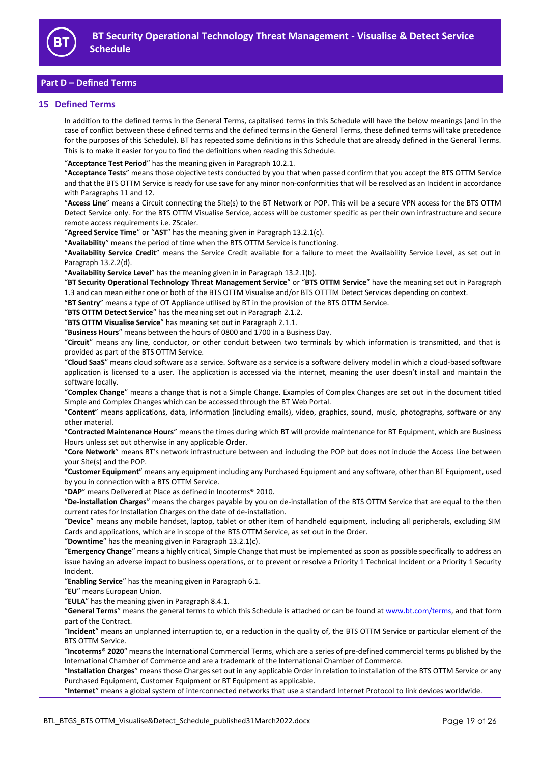

# **Part D – Defined Terms**

# **15 Defined Terms**

In addition to the defined terms in the General Terms, capitalised terms in this Schedule will have the below meanings (and in the case of conflict between these defined terms and the defined terms in the General Terms, these defined terms will take precedence for the purposes of this Schedule). BT has repeated some definitions in this Schedule that are already defined in the General Terms. This is to make it easier for you to find the definitions when reading this Schedule.

"**Acceptance Test Period**" has the meaning given in Paragraph 10.2.1.

"**Acceptance Tests**" means those objective tests conducted by you that when passed confirm that you accept the BTS OTTM Service and that the BTS OTTM Service is ready for use save for any minor non-conformities that will be resolved as an Incident in accordance with Paragraphs 11 and 12.

"**Access Line**" means a Circuit connecting the Site(s) to the BT Network or POP. This will be a secure VPN access for the BTS OTTM Detect Service only. For the BTS OTTM Visualise Service, access will be customer specific as per their own infrastructure and secure remote access requirements i.e. ZScaler.

"**Agreed Service Time**" or "**AST**" has the meaning given in Paragraph 13.2.1(c).

"**Availability**" means the period of time when the BTS OTTM Service is functioning.

"**Availability Service Credit**" means the Service Credit available for a failure to meet the Availability Service Level, as set out in Paragraph 13.2.2(d).

"**Availability Service Level**" has the meaning given in in Paragraph 13.2.1(b).

"**BT Security Operational Technology Threat Management Service**" or "**BTS OTTM Service**" have the meaning set out in Paragraph 1.3 and can mean either one or both of the BTS OTTM Visualise and/or BTS OTTTM Detect Services depending on context.

"**BT Sentry**" means a type of OT Appliance utilised by BT in the provision of the BTS OTTM Service.

"**BTS OTTM Detect Service**" has the meaning set out in Paragraph 2.1.2.

"**BTS OTTM Visualise Service**" has meaning set out in Paragraph 2.1.1.

"**Business Hours**" means between the hours of 0800 and 1700 in a Business Day.

"**Circuit**" means any line, conductor, or other conduit between two terminals by which information is transmitted, and that is provided as part of the BTS OTTM Service.

"**Cloud SaaS**" means cloud software as a service. Software as a service is a software delivery model in which a cloud-based software application is licensed to a user. The application is accessed via the internet, meaning the user doesn't install and maintain the software locally.

"**Complex Change**" means a change that is not a Simple Change. Examples of Complex Changes are set out in the document titled Simple and Complex Changes which can be accessed through the BT Web Portal.

"**Content**" means applications, data, information (including emails), video, graphics, sound, music, photographs, software or any other material.

"**Contracted Maintenance Hours**" means the times during which BT will provide maintenance for BT Equipment, which are Business Hours unless set out otherwise in any applicable Order.

"**Core Network**" means BT's network infrastructure between and including the POP but does not include the Access Line between your Site(s) and the POP.

"**Customer Equipment**" means any equipment including any Purchased Equipment and any software, other than BT Equipment, used by you in connection with a BTS OTTM Service.

"**DAP**" means Delivered at Place as defined in Incoterms® 2010.

"**De-installation Charges**" means the charges payable by you on de-installation of the BTS OTTM Service that are equal to the then current rates for Installation Charges on the date of de-installation.

"**Device**" means any mobile handset, laptop, tablet or other item of handheld equipment, including all peripherals, excluding SIM Cards and applications, which are in scope of the BTS OTTM Service, as set out in the Order.

"**Downtime**" has the meaning given in Paragraph 13.2.1(c).

"**Emergency Change**" means a highly critical, Simple Change that must be implemented as soon as possible specifically to address an issue having an adverse impact to business operations, or to prevent or resolve a Priority 1 Technical Incident or a Priority 1 Security Incident.

"**Enabling Service**" has the meaning given in Paragraph [6.1.](#page-5-0)

"**EU**" means European Union.

"**EULA**" has the meaning given in Paragraph 8.4.1.

"**General Terms**" means the general terms to which this Schedule is attached or can be found a[t www.bt.com/terms,](http://www.bt.com/terms) and that form part of the Contract.

"**Incident**" means an unplanned interruption to, or a reduction in the quality of, the BTS OTTM Service or particular element of the BTS OTTM Service.

"**Incoterms® 2020**" means the International Commercial Terms, which are a series of pre-defined commercial terms published by the International Chamber of Commerce and are a trademark of the International Chamber of Commerce.

"**Installation Charges**" means those Charges set out in any applicable Order in relation to installation of the BTS OTTM Service or any Purchased Equipment, Customer Equipment or BT Equipment as applicable.

"**Internet**" means a global system of interconnected networks that use a standard Internet Protocol to link devices worldwide.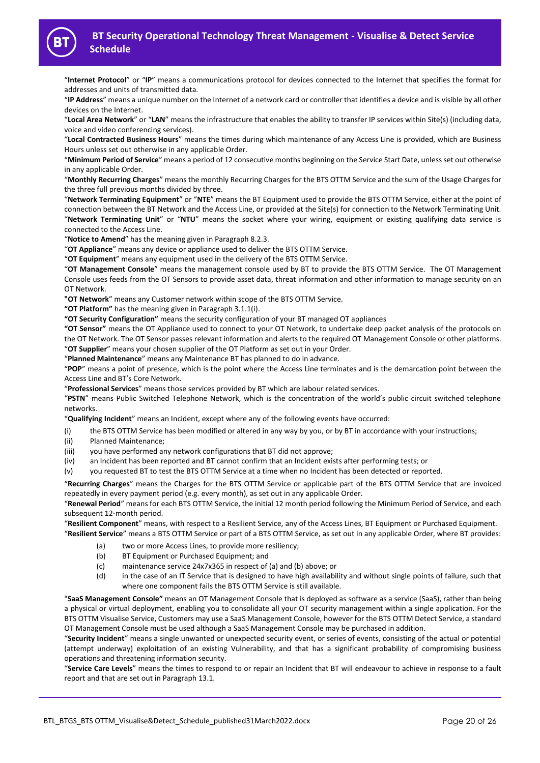

"**Internet Protocol**" or "**IP**" means a communications protocol for devices connected to the Internet that specifies the format for addresses and units of transmitted data.

"**IP Address**" means a unique number on the Internet of a network card or controller that identifies a device and is visible by all other devices on the Internet.

"**Local Area Network**" or "**LAN**" means the infrastructure that enables the ability to transfer IP services within Site(s) (including data, voice and video conferencing services).

"**Local Contracted Business Hours**" means the times during which maintenance of any Access Line is provided, which are Business Hours unless set out otherwise in any applicable Order.

"**Minimum Period of Service**" means a period of 12 consecutive months beginning on the Service Start Date, unless set out otherwise in any applicable Order.

"**Monthly Recurring Charges**" means the monthly Recurring Charges for the BTS OTTM Service and the sum of the Usage Charges for the three full previous months divided by three.

"**Network Terminating Equipment**" or "**NTE**" means the BT Equipment used to provide the BTS OTTM Service, either at the point of connection between the BT Network and the Access Line, or provided at the Site(s) for connection to the Network Terminating Unit. "**Network Terminating Unit**" or "**NTU**" means the socket where your wiring, equipment or existing qualifying data service is connected to the Access Line.

"**Notice to Amend**" has the meaning given in Paragraph 8.2.3.

"**OT Appliance**" means any device or appliance used to deliver the BTS OTTM Service.

"**OT Equipment**" means any equipment used in the delivery of the BTS OTTM Service.

"**OT Management Console**" means the management console used by BT to provide the BTS OTTM Service. The OT Management Console uses feeds from the OT Sensors to provide asset data, threat information and other information to manage security on an OT Network.

**"OT Network**" means any Customer network within scope of the BTS OTTM Service.

**"OT Platform"** has the meaning given in Paragraph 3.1.1(i).

**"OT Security Configuration"** means the security configuration of your BT managed OT appliances

**"OT Sensor"** means the OT Appliance used to connect to your OT Network, to undertake deep packet analysis of the protocols on the OT Network. The OT Sensor passes relevant information and alerts to the required OT Management Console or other platforms. "**OT Supplier**" means your chosen supplier of the OT Platform as set out in your Order.

"**Planned Maintenance**" means any Maintenance BT has planned to do in advance.

"**POP**" means a point of presence, which is the point where the Access Line terminates and is the demarcation point between the Access Line and BT's Core Network.

"**Professional Services**" means those services provided by BT which are labour related services.

"**PSTN**" means Public Switched Telephone Network, which is the concentration of the world's public circuit switched telephone networks.

"**Qualifying Incident**" means an Incident, except where any of the following events have occurred:

- (i) the BTS OTTM Service has been modified or altered in any way by you, or by BT in accordance with your instructions;
- (ii) Planned Maintenance;
- (iii) you have performed any network configurations that BT did not approve;
- (iv) an Incident has been reported and BT cannot confirm that an Incident exists after performing tests; or
- (v) you requested BT to test the BTS OTTM Service at a time when no Incident has been detected or reported.

"**Recurring Charges**" means the Charges for the BTS OTTM Service or applicable part of the BTS OTTM Service that are invoiced repeatedly in every payment period (e.g. every month), as set out in any applicable Order.

"**Renewal Period**" means for each BTS OTTM Service, the initial 12 month period following the Minimum Period of Service, and each subsequent 12-month period.

"**Resilient Component**" means, with respect to a Resilient Service, any of the Access Lines, BT Equipment or Purchased Equipment. "**Resilient Service**" means a BTS OTTM Service or part of a BTS OTTM Service, as set out in any applicable Order, where BT provides:

- (a) two or more Access Lines, to provide more resiliency;
- (b) BT Equipment or Purchased Equipment; and
- (c) maintenance service 24x7x365 in respect of (a) and (b) above; or
- (d) in the case of an IT Service that is designed to have high availability and without single points of failure, such that where one component fails the BTS OTTM Service is still available.

"**SaaS Management Console"** means an OT Management Console that is deployed as software as a service (SaaS), rather than being a physical or virtual deployment, enabling you to consolidate all your OT security management within a single application. For the BTS OTTM Visualise Service, Customers may use a SaaS Management Console, however for the BTS OTTM Detect Service, a standard OT Management Console must be used although a SaaS Management Console may be purchased in addition.

"**Security Incident**" means a single unwanted or unexpected security event, or series of events, consisting of the actual or potential (attempt underway) exploitation of an existing Vulnerability, and that has a significant probability of compromising business operations and threatening information security.

"**Service Care Levels**" means the times to respond to or repair an Incident that BT will endeavour to achieve in response to a fault report and that are set out in Paragraph 13.1.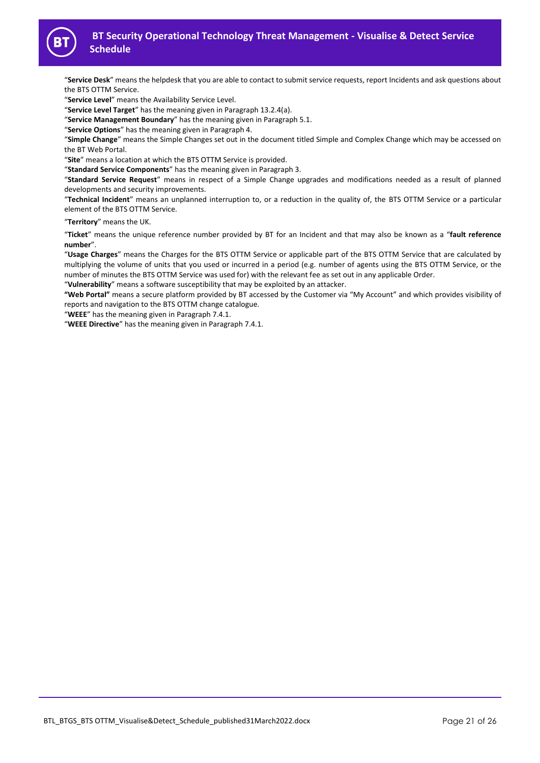

"**Service Desk**" means the helpdesk that you are able to contact to submit service requests, report Incidents and ask questions about the BTS OTTM Service.

"**Service Level**" means the Availability Service Level.

"**Service Level Target**" has the meaning given in Paragraph 13.2.4(a).

"**Service Management Boundary**" has the meaning given in Paragrap[h 5.1.](#page-5-1)

"**Service Options**" has the meaning given in Paragraph 4.

"**Simple Change**" means the Simple Changes set out in the document titled Simple and Complex Change which may be accessed on the BT Web Portal.

"**Site**" means a location at which the BTS OTTM Service is provided.

"**Standard Service Components**" has the meaning given in Paragraph 3.

"**Standard Service Request**" means in respect of a Simple Change upgrades and modifications needed as a result of planned developments and security improvements.

"**Technical Incident**" means an unplanned interruption to, or a reduction in the quality of, the BTS OTTM Service or a particular element of the BTS OTTM Service.

"**Territory**" means the UK.

"**Ticket**" means the unique reference number provided by BT for an Incident and that may also be known as a "**fault reference number**".

"**Usage Charges**" means the Charges for the BTS OTTM Service or applicable part of the BTS OTTM Service that are calculated by multiplying the volume of units that you used or incurred in a period (e.g. number of agents using the BTS OTTM Service, or the number of minutes the BTS OTTM Service was used for) with the relevant fee as set out in any applicable Order.

"**Vulnerability**" means a software susceptibility that may be exploited by an attacker.

**"Web Portal"** means a secure platform provided by BT accessed by the Customer via "My Account" and which provides visibility of reports and navigation to the BTS OTTM change catalogue.

"**WEEE**" has the meaning given in Paragraph 7.4.1.

"**WEEE Directive**" has the meaning given in Paragraph 7.4.1.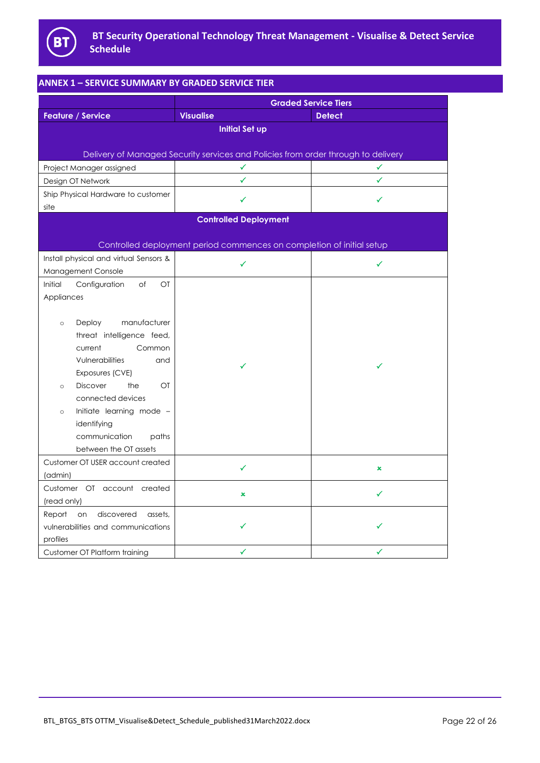

| <b>ANNEX 1 - SERVICE SUMMARY BY GRADED SERVICE TIER</b>           |                                                                                   |                             |  |
|-------------------------------------------------------------------|-----------------------------------------------------------------------------------|-----------------------------|--|
|                                                                   |                                                                                   | <b>Graded Service Tiers</b> |  |
| <b>Feature / Service</b>                                          | <b>Visualise</b>                                                                  | <b>Detect</b>               |  |
|                                                                   | <b>Initial Set up</b>                                                             |                             |  |
|                                                                   |                                                                                   |                             |  |
|                                                                   | Delivery of Managed Security services and Policies from order through to delivery |                             |  |
| Project Manager assigned                                          | ✓                                                                                 | ✓                           |  |
| Design OT Network                                                 | ✓                                                                                 | ✓                           |  |
| Ship Physical Hardware to customer                                | ✓                                                                                 | ✓                           |  |
| site                                                              |                                                                                   |                             |  |
|                                                                   | <b>Controlled Deployment</b>                                                      |                             |  |
|                                                                   |                                                                                   |                             |  |
|                                                                   | Controlled deployment period commences on completion of initial setup             |                             |  |
| Install physical and virtual Sensors &                            | ✓                                                                                 | ✓                           |  |
| Management Console<br>Initial<br>Configuration<br>of<br><b>OT</b> |                                                                                   |                             |  |
| Appliances                                                        |                                                                                   |                             |  |
|                                                                   |                                                                                   |                             |  |
| manufacturer<br><b>Deploy</b><br>$\circ$                          |                                                                                   |                             |  |
| threat intelligence feed,                                         |                                                                                   |                             |  |
| Common<br>current                                                 |                                                                                   |                             |  |
| Vulnerabilities<br>and                                            |                                                                                   |                             |  |
| Exposures (CVE)                                                   | ✓                                                                                 | ✓                           |  |
| the<br>$\overline{C}$<br><b>Discover</b><br>$\circ$               |                                                                                   |                             |  |
| connected devices                                                 |                                                                                   |                             |  |
| Initiate learning mode -<br>$\circ$                               |                                                                                   |                             |  |
| identifying                                                       |                                                                                   |                             |  |
| communication<br>paths                                            |                                                                                   |                             |  |
| between the OT assets                                             |                                                                                   |                             |  |
| Customer OT USER account created                                  | ✓                                                                                 | ×                           |  |
| (admin)                                                           |                                                                                   |                             |  |
| Customer OT account created                                       | $\pmb{\times}$                                                                    | ✓                           |  |
| (read only)                                                       |                                                                                   |                             |  |
| Report<br>discovered<br>on<br>assets,                             |                                                                                   |                             |  |
| vulnerabilities and communications                                |                                                                                   |                             |  |
| profiles                                                          |                                                                                   |                             |  |
| Customer OT Platform training                                     | ✓                                                                                 | ✓                           |  |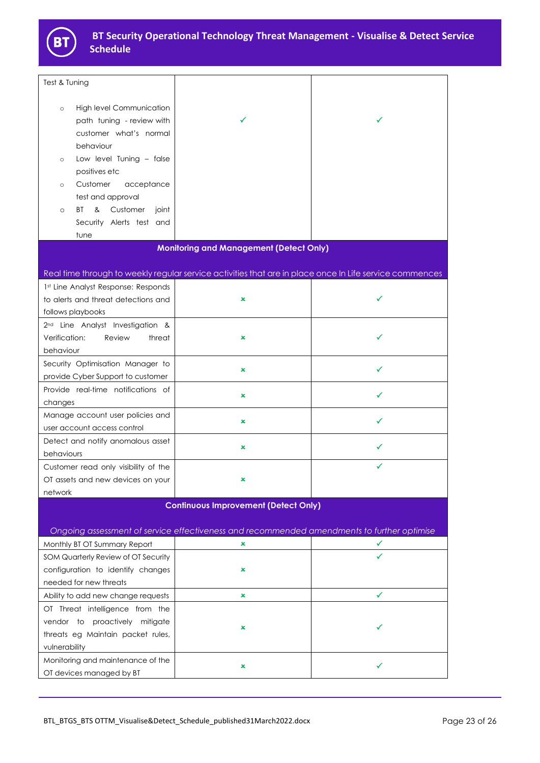

| Test & Tuning                                                                                                                                                                                               |                                                                                                         |              |  |
|-------------------------------------------------------------------------------------------------------------------------------------------------------------------------------------------------------------|---------------------------------------------------------------------------------------------------------|--------------|--|
| <b>High level Communication</b><br>$\circ$<br>path tuning - review with<br>customer what's normal<br>behaviour<br>Low level Tuning - false<br>$\circ$<br>positives etc<br>Customer<br>acceptance<br>$\circ$ | ✓                                                                                                       | ✓            |  |
| test and approval<br>BT<br>& Customer<br>joint<br>$\circ$<br>Security Alerts test and                                                                                                                       |                                                                                                         |              |  |
| tune                                                                                                                                                                                                        |                                                                                                         |              |  |
|                                                                                                                                                                                                             | <b>Monitoring and Management (Detect Only)</b>                                                          |              |  |
|                                                                                                                                                                                                             |                                                                                                         |              |  |
|                                                                                                                                                                                                             | Real time through to weekly regular service activities that are in place once In Life service commences |              |  |
| 1st Line Analyst Response: Responds<br>to alerts and threat detections and<br>follows playbooks                                                                                                             | ×                                                                                                       | ✓            |  |
| 2 <sup>nd</sup> Line Analyst Investigation &<br>Verification:<br>Review<br>threat<br>behaviour                                                                                                              | $\pmb{\times}$                                                                                          | ✓            |  |
| Security Optimisation Manager to<br>provide Cyber Support to customer                                                                                                                                       | ×                                                                                                       | ✓            |  |
| Provide real-time notifications of<br>changes                                                                                                                                                               | ×                                                                                                       | ✓            |  |
| Manage account user policies and<br>user account access control                                                                                                                                             | ×                                                                                                       | ✓            |  |
| Detect and notify anomalous asset<br>behaviours                                                                                                                                                             | ×                                                                                                       | ✓            |  |
| Customer read only visibility of the<br>OT assets and new devices on your<br>network                                                                                                                        |                                                                                                         | ✓            |  |
|                                                                                                                                                                                                             | <b>Continuous Improvement (Detect Only)</b>                                                             |              |  |
| Ongoing assessment of service effectiveness and recommended amendments to further optimise                                                                                                                  |                                                                                                         |              |  |
| Monthly BT OT Summary Report                                                                                                                                                                                | ×                                                                                                       | ✓            |  |
| SOM Quarterly Review of OT Security                                                                                                                                                                         |                                                                                                         | $\checkmark$ |  |
| configuration to identify changes                                                                                                                                                                           | ×                                                                                                       |              |  |
| needed for new threats                                                                                                                                                                                      |                                                                                                         |              |  |
| Ability to add new change requests                                                                                                                                                                          | ×                                                                                                       | ✓            |  |
| OT Threat intelligence from the<br>vendor to proactively mitigate<br>threats eg Maintain packet rules,<br>vulnerability                                                                                     | ×                                                                                                       |              |  |
| Monitoring and maintenance of the<br>OT devices managed by BT                                                                                                                                               | ×                                                                                                       | ✓            |  |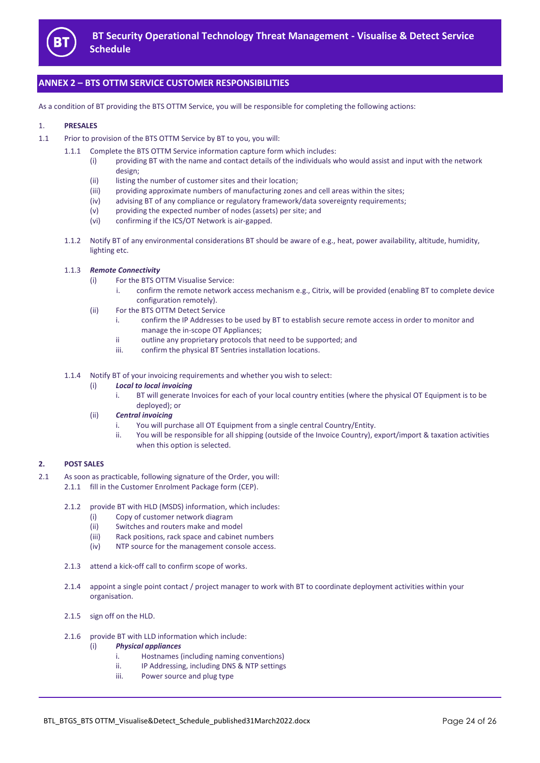

# **ANNEX 2 – BTS OTTM SERVICE CUSTOMER RESPONSIBILITIES**

As a condition of BT providing the BTS OTTM Service, you will be responsible for completing the following actions:

#### 1. **PRESALES**

- 1.1 Prior to provision of the BTS OTTM Service by BT to you, you will:
	- 1.1.1 Complete the BTS OTTM Service information capture form which includes:
		- (i) providing BT with the name and contact details of the individuals who would assist and input with the network design;
		- (ii) listing the number of customer sites and their location;
		- (iii) providing approximate numbers of manufacturing zones and cell areas within the sites;
		- (iv) advising BT of any compliance or regulatory framework/data sovereignty requirements;
		- (v) providing the expected number of nodes (assets) per site; and
		- (vi) confirming if the ICS/OT Network is air-gapped.
		- 1.1.2 Notify BT of any environmental considerations BT should be aware of e.g., heat, power availability, altitude, humidity, lighting etc.

#### 1.1.3 *Remote Connectivity*

- (i) For the BTS OTTM Visualise Service:
	- confirm the remote network access mechanism e.g., Citrix, will be provided (enabling BT to complete device configuration remotely).
- (ii) For the BTS OTTM Detect Service
	- i. confirm the IP Addresses to be used by BT to establish secure remote access in order to monitor and manage the in-scope OT Appliances;
	- ii outline any proprietary protocols that need to be supported; and
	- iii. confirm the physical BT Sentries installation locations.
- 1.1.4 Notify BT of your invoicing requirements and whether you wish to select:
	- (i) *Local to local invoicing*
		- i. BT will generate Invoices for each of your local country entities (where the physical OT Equipment is to be deployed); or
	- (ii) *Central invoicing*
		- i. You will purchase all OT Equipment from a single central Country/Entity.
		- ii. You will be responsible for all shipping (outside of the Invoice Country), export/import & taxation activities when this option is selected.

#### **2. POST SALES**

- 2.1 As soon as practicable, following signature of the Order, you will: 2.1.1 fill in the Customer Enrolment Package form (CEP).
	- 2.1.2 provide BT with HLD (MSDS) information, which includes:
		- (i) Copy of customer network diagram
		- (ii) Switches and routers make and model
		- (iii) Rack positions, rack space and cabinet numbers
		- (iv) NTP source for the management console access.
	- 2.1.3 attend a kick-off call to confirm scope of works.
	- 2.1.4 appoint a single point contact / project manager to work with BT to coordinate deployment activities within your organisation.
	- 2.1.5 sign off on the HLD.
	- 2.1.6 provide BT with LLD information which include:
		- (i) *Physical appliances*
			- i. Hostnames (including naming conventions)
			- ii. IP Addressing, including DNS & NTP settings
			- iii. Power source and plug type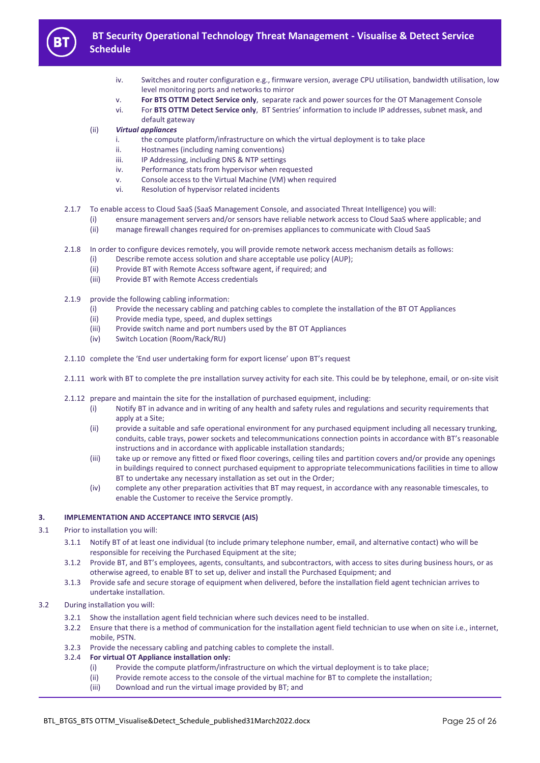

- iv. Switches and router configuration e.g., firmware version, average CPU utilisation, bandwidth utilisation, low level monitoring ports and networks to mirror
- v. **For BTS OTTM Detect Service only**, separate rack and power sources for the OT Management Console
- vi. For **BTS OTTM Detect Service only**, BT Sentries' information to include IP addresses, subnet mask, and default gateway
- (ii) *Virtual appliances*
	- i. the compute platform/infrastructure on which the virtual deployment is to take place
	- ii. Hostnames (including naming conventions)
	- iii. IP Addressing, including DNS & NTP settings
	- iv. Performance stats from hypervisor when requested
	- v. Console access to the Virtual Machine (VM) when required
	- vi. Resolution of hypervisor related incidents
- 2.1.7 To enable access to Cloud SaaS (SaaS Management Console, and associated Threat Intelligence) you will:
	- (i) ensure management servers and/or sensors have reliable network access to Cloud SaaS where applicable; and
	- (ii) manage firewall changes required for on-premises appliances to communicate with Cloud SaaS
- 2.1.8 In order to configure devices remotely, you will provide remote network access mechanism details as follows:
	- (i) Describe remote access solution and share acceptable use policy (AUP);
	- (ii) Provide BT with Remote Access software agent, if required; and
	- (iii) Provide BT with Remote Access credentials
- 2.1.9 provide the following cabling information:
	- (i) Provide the necessary cabling and patching cables to complete the installation of the BT OT Appliances
	- (ii) Provide media type, speed, and duplex settings
	- (iii) Provide switch name and port numbers used by the BT OT Appliances
	- (iv) Switch Location (Room/Rack/RU)
- 2.1.10 complete the 'End user undertaking form for export license' upon BT's request
- 2.1.11 work with BT to complete the pre installation survey activity for each site. This could be by telephone, email, or on-site visit
- 2.1.12 prepare and maintain the site for the installation of purchased equipment, including:
	- (i) Notify BT in advance and in writing of any health and safety rules and regulations and security requirements that apply at a Site;
	- (ii) provide a suitable and safe operational environment for any purchased equipment including all necessary trunking, conduits, cable trays, power sockets and telecommunications connection points in accordance with BT's reasonable instructions and in accordance with applicable installation standards;
	- (iii) take up or remove any fitted or fixed floor coverings, ceiling tiles and partition covers and/or provide any openings in buildings required to connect purchased equipment to appropriate telecommunications facilities in time to allow BT to undertake any necessary installation as set out in the Order;
	- (iv) complete any other preparation activities that BT may request, in accordance with any reasonable timescales, to enable the Customer to receive the Service promptly.

#### **3. IMPLEMENTATION AND ACCEPTANCE INTO SERVCIE (AIS)**

- 3.1 Prior to installation you will:
	- 3.1.1 Notify BT of at least one individual (to include primary telephone number, email, and alternative contact) who will be responsible for receiving the Purchased Equipment at the site;
	- 3.1.2 Provide BT, and BT's employees, agents, consultants, and subcontractors, with access to sites during business hours, or as otherwise agreed, to enable BT to set up, deliver and install the Purchased Equipment; and
	- 3.1.3 Provide safe and secure storage of equipment when delivered, before the installation field agent technician arrives to undertake installation.
- 3.2 During installation you will:
	- 3.2.1 Show the installation agent field technician where such devices need to be installed.
	- 3.2.2 Ensure that there is a method of communication for the installation agent field technician to use when on site i.e., internet, mobile, PSTN.
	- 3.2.3 Provide the necessary cabling and patching cables to complete the install.
	- 3.2.4 **For virtual OT Appliance installation only:**
		- (i) Provide the compute platform/infrastructure on which the virtual deployment is to take place;
		- (ii) Provide remote access to the console of the virtual machine for BT to complete the installation;
		- (iii) Download and run the virtual image provided by BT; and